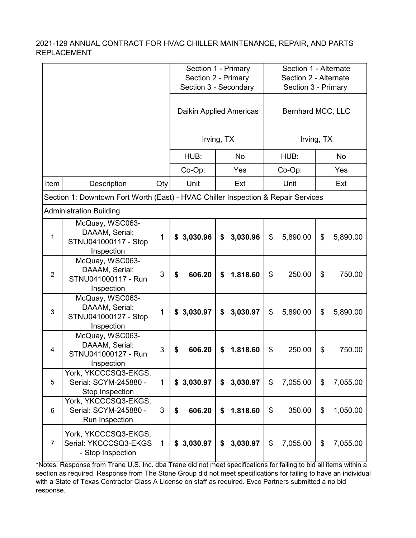|                |                                                                                   |              |                     | Section 1 - Primary     |                       | Section 1 - Alternate |  |  |
|----------------|-----------------------------------------------------------------------------------|--------------|---------------------|-------------------------|-----------------------|-----------------------|--|--|
|                |                                                                                   |              | Section 2 - Primary |                         | Section 2 - Alternate |                       |  |  |
|                |                                                                                   |              |                     | Section 3 - Secondary   |                       | Section 3 - Primary   |  |  |
|                |                                                                                   |              |                     | Daikin Applied Americas |                       | Bernhard MCC, LLC     |  |  |
|                |                                                                                   |              |                     | Irving, TX              |                       | Irving, TX            |  |  |
|                |                                                                                   |              | HUB:                | <b>No</b>               | HUB:                  | <b>No</b>             |  |  |
|                |                                                                                   |              | Co-Op:              | Yes                     | Co-Op:                | Yes                   |  |  |
| Item           | Description                                                                       | Qty          | Unit                | Ext                     | Unit                  | Ext                   |  |  |
|                | Section 1: Downtown Fort Worth (East) - HVAC Chiller Inspection & Repair Services |              |                     |                         |                       |                       |  |  |
|                | <b>Administration Building</b>                                                    |              |                     |                         |                       |                       |  |  |
| 1              | McQuay, WSC063-<br>DAAAM, Serial:<br>STNU041000117 - Stop<br>Inspection           | 1            | \$3,030.96          | 3,030.96<br>\$          | \$<br>5,890.00        | \$<br>5,890.00        |  |  |
| $\overline{2}$ | McQuay, WSC063-<br>DAAAM, Serial:<br>STNU041000117 - Run<br>Inspection            | 3            | 606.20<br>\$        | 1,818.60<br>\$          | \$<br>250.00          | \$<br>750.00          |  |  |
| $\mathbf{3}$   | McQuay, WSC063-<br>DAAAM, Serial:<br>STNU041000127 - Stop<br>Inspection           | 1            | 3,030.97<br>\$      | 3,030.97<br>\$          | 5,890.00<br>\$        | \$<br>5,890.00        |  |  |
| 4              | McQuay, WSC063-<br>DAAAM, Serial:<br>STNU041000127 - Run<br>Inspection            | 3            | 606.20<br>\$        | \$<br>1,818.60          | \$<br>250.00          | \$<br>750.00          |  |  |
| 5              | York, YKCCCSQ3-EKGS,<br>Serial: SCYM-245880 -<br>Stop Inspection                  | $\mathbf{1}$ | \$3,030.97          | 3,030.97<br>\$          | \$<br>7,055.00        | \$<br>7,055.00        |  |  |
| 6              | York, YKCCCSQ3-EKGS,<br>Serial: SCYM-245880 -<br>Run Inspection                   | 3            | 606.20<br>\$        | \$<br>1,818.60          | \$<br>350.00          | \$<br>1,050.00        |  |  |
| 7              | York, YKCCCSQ3-EKGS,<br>Serial: YKCCCSQ3-EKGS<br>- Stop Inspection                | $\mathbf{1}$ | \$3,030.97          | 3,030.97<br>\$          | \$<br>7,055.00        | \$<br>7,055.00        |  |  |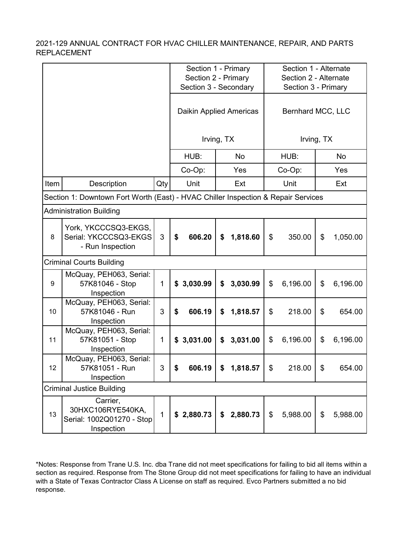|      |                                                                                   |              | Section 1 - Primary<br>Section 2 - Primary<br>Section 3 - Secondary |                         | Section 1 - Alternate<br>Section 2 - Alternate<br>Section 3 - Primary |                   |  |  |  |
|------|-----------------------------------------------------------------------------------|--------------|---------------------------------------------------------------------|-------------------------|-----------------------------------------------------------------------|-------------------|--|--|--|
|      |                                                                                   |              |                                                                     | Daikin Applied Americas |                                                                       | Bernhard MCC, LLC |  |  |  |
|      |                                                                                   |              |                                                                     | Irving, TX              |                                                                       | Irving, TX        |  |  |  |
|      |                                                                                   |              | HUB:                                                                | No                      | HUB:                                                                  | <b>No</b>         |  |  |  |
|      |                                                                                   |              | Co-Op:                                                              | Yes                     | Co-Op:                                                                | Yes               |  |  |  |
| Item | Description                                                                       | Qty          | Unit                                                                | Ext                     | Unit                                                                  | Ext               |  |  |  |
|      | Section 1: Downtown Fort Worth (East) - HVAC Chiller Inspection & Repair Services |              |                                                                     |                         |                                                                       |                   |  |  |  |
|      | <b>Administration Building</b>                                                    |              |                                                                     |                         |                                                                       |                   |  |  |  |
| 8    | York, YKCCCSQ3-EKGS,<br>Serial: YKCCCSQ3-EKGS<br>- Run Inspection                 | 3            | \$<br>606.20                                                        | \$<br>1,818.60          | $\boldsymbol{\mathsf{S}}$<br>350.00                                   | \$<br>1,050.00    |  |  |  |
|      | Criminal Courts Building                                                          |              |                                                                     |                         |                                                                       |                   |  |  |  |
| 9    | McQuay, PEH063, Serial:<br>57K81046 - Stop<br>Inspection                          | $\mathbf{1}$ | \$3,030.99                                                          | \$<br>3,030.99          | \$<br>6,196.00                                                        | \$<br>6,196.00    |  |  |  |
| 10   | McQuay, PEH063, Serial:<br>57K81046 - Run<br>Inspection                           | 3            | 606.19<br>\$                                                        | 1,818.57<br>\$          | \$<br>218.00                                                          | \$<br>654.00      |  |  |  |
| 11   | McQuay, PEH063, Serial:<br>57K81051 - Stop<br>Inspection                          | $\mathbf{1}$ | 3,031.00<br>\$                                                      | 3,031.00<br>\$          | \$<br>6,196.00                                                        | \$<br>6,196.00    |  |  |  |
| 12   | McQuay, PEH063, Serial:<br>57K81051 - Run<br>Inspection                           | $\mathbf{3}$ | 606.19                                                              | P<br>1,818.57           | 218.00<br>\$                                                          | \$<br>654.00      |  |  |  |
|      | <b>Criminal Justice Building</b>                                                  |              |                                                                     |                         |                                                                       |                   |  |  |  |
| 13   | Carrier,<br>30HXC106RYE540KA,<br>Serial: 1002Q01270 - Stop<br>Inspection          | $\mathbf{1}$ | \$2,880.73                                                          | \$2,880.73              | \$<br>5,988.00                                                        | \$<br>5,988.00    |  |  |  |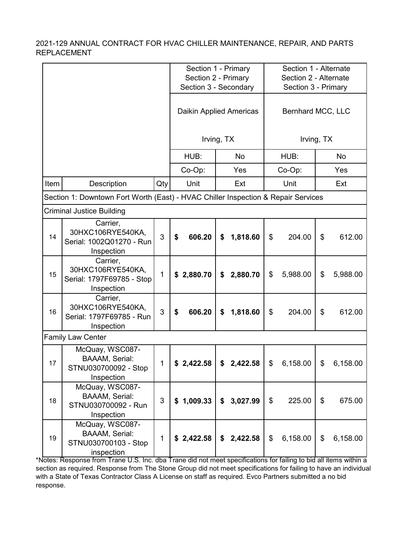|      |                                                                                   |              |              | Section 1 - Primary<br>Section 2 - Primary<br>Section 3 - Secondary<br>Daikin Applied Americas |                 | Section 1 - Alternate<br>Section 2 - Alternate<br>Section 3 - Primary<br>Bernhard MCC, LLC |  |  |  |
|------|-----------------------------------------------------------------------------------|--------------|--------------|------------------------------------------------------------------------------------------------|-----------------|--------------------------------------------------------------------------------------------|--|--|--|
|      |                                                                                   |              |              | Irving, TX                                                                                     |                 | Irving, TX                                                                                 |  |  |  |
|      |                                                                                   |              | HUB:         | <b>No</b>                                                                                      | HUB:            | <b>No</b>                                                                                  |  |  |  |
|      |                                                                                   |              | Co-Op:       | Yes                                                                                            | Co-Op:          | Yes                                                                                        |  |  |  |
| Item | Description                                                                       | Qty          | Unit         | Ext                                                                                            | Unit            | Ext                                                                                        |  |  |  |
|      | Section 1: Downtown Fort Worth (East) - HVAC Chiller Inspection & Repair Services |              |              |                                                                                                |                 |                                                                                            |  |  |  |
|      | Criminal Justice Building                                                         |              |              |                                                                                                |                 |                                                                                            |  |  |  |
| 14   | Carrier,<br>30HXC106RYE540KA,<br>Serial: 1002Q01270 - Run<br>Inspection           | 3            | \$<br>606.20 | \$<br>1,818.60                                                                                 | \$<br>204.00    | \$<br>612.00                                                                               |  |  |  |
| 15   | Carrier,<br>30HXC106RYE540KA,<br>Serial: 1797F69785 - Stop<br>Inspection          | 1            | \$2,880.70   | 2,880.70<br>\$                                                                                 | 5,988.00<br>\$  | \$<br>5,988.00                                                                             |  |  |  |
| 16   | Carrier,<br>30HXC106RYE540KA,<br>Serial: 1797F69785 - Run<br>Inspection           | 3            | 606.20<br>\$ | \$<br>1,818.60                                                                                 | \$<br>204.00    | \$<br>612.00                                                                               |  |  |  |
|      | <b>Family Law Center</b>                                                          |              |              |                                                                                                |                 |                                                                                            |  |  |  |
| 17   | McQuay, WSC087-<br><b>BAAAM, Serial:</b><br>STNU030700092 - Stop<br>Inspection    | 1            | \$2,422.58   | 2,422.58<br>\$                                                                                 | \$<br>6,158.00  | \$<br>6,158.00                                                                             |  |  |  |
| 18   | McQuay, WSC087-<br><b>BAAAM, Serial:</b><br>STNU030700092 - Run<br>Inspection     | 3            | \$1,009.33   | \$3,027.99                                                                                     | $\$\$<br>225.00 | $\$\$<br>675.00                                                                            |  |  |  |
| 19   | McQuay, WSC087-<br><b>BAAAM, Serial:</b><br>STNU030700103 - Stop<br>inspection    | $\mathbf{1}$ | \$2,422.58   | \$<br>2,422.58                                                                                 | 6,158.00<br>\$  | \$<br>6,158.00                                                                             |  |  |  |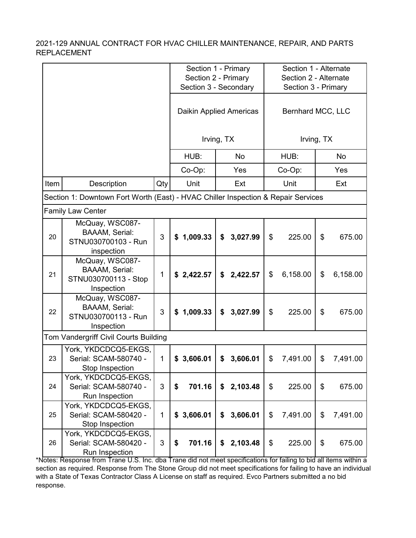|      |                                                                                   |              |                       | Section 1 - Primary     |                                     | Section 1 - Alternate |  |  |
|------|-----------------------------------------------------------------------------------|--------------|-----------------------|-------------------------|-------------------------------------|-----------------------|--|--|
|      |                                                                                   |              | Section 2 - Primary   |                         | Section 2 - Alternate               |                       |  |  |
|      |                                                                                   |              | Section 3 - Secondary |                         | Section 3 - Primary                 |                       |  |  |
|      |                                                                                   |              |                       | Daikin Applied Americas |                                     | Bernhard MCC, LLC     |  |  |
|      |                                                                                   |              |                       | Irving, TX              |                                     | Irving, TX            |  |  |
|      |                                                                                   |              | HUB:                  | <b>No</b>               | HUB:                                | No                    |  |  |
|      |                                                                                   |              | Co-Op:                | Yes                     | Co-Op:                              | Yes                   |  |  |
| Item | Description                                                                       | Qty          | Unit                  | Ext                     | Unit                                | Ext                   |  |  |
|      | Section 1: Downtown Fort Worth (East) - HVAC Chiller Inspection & Repair Services |              |                       |                         |                                     |                       |  |  |
|      | <b>Family Law Center</b>                                                          |              |                       |                         |                                     |                       |  |  |
| 20   | McQuay, WSC087-<br><b>BAAAM, Serial:</b><br>STNU030700103 - Run<br>inspection     | 3            | 1,009.33<br>\$        | 3,027.99<br>\$          | $\boldsymbol{\mathsf{S}}$<br>225.00 | \$<br>675.00          |  |  |
| 21   | McQuay, WSC087-<br><b>BAAAM, Serial:</b><br>STNU030700113 - Stop<br>Inspection    | 1            | \$2,422.57            | \$<br>2,422.57          | \$<br>6,158.00                      | \$<br>6,158.00        |  |  |
| 22   | McQuay, WSC087-<br><b>BAAAM, Serial:</b><br>STNU030700113 - Run<br>Inspection     | 3            | 1,009.33<br>\$        | 3,027.99<br>\$          | \$<br>225.00                        | \$<br>675.00          |  |  |
|      | Tom Vandergriff Civil Courts Building                                             |              |                       |                         |                                     |                       |  |  |
| 23   | York, YKDCDCQ5-EKGS,<br>Serial: SCAM-580740 -<br>Stop Inspection                  | $\mathbf{1}$ | 3,606.01<br>\$        | 3,606.01<br>\$          | \$<br>7,491.00                      | \$<br>7,491.00        |  |  |
| 24   | York, YKDCDCQ5-EKGS,<br>Serial: SCAM-580740 -<br>Run Inspection                   | 3            | 701.16<br>\$          | 2,103.48<br>\$          | \$<br>225.00                        | \$<br>675.00          |  |  |
| 25   | York, YKDCDCQ5-EKGS,<br>Serial: SCAM-580420 -<br>Stop Inspection                  | $\mathbf{1}$ | \$3,606.01            | 3,606.01<br>\$          | \$<br>7,491.00                      | \$<br>7,491.00        |  |  |
| 26   | York, YKDCDCQ5-EKGS,<br>Serial: SCAM-580420 -<br>Run Inspection                   | 3            | 701.16<br>\$          | \$<br>2,103.48          | \$<br>225.00                        | \$<br>675.00          |  |  |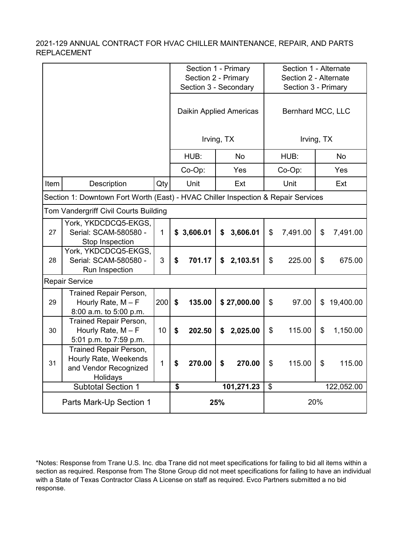|      |                                                                                      |              |                                      | Section 1 - Primary<br>Section 2 - Primary<br>Section 3 - Secondary |     | Section 1 - Alternate<br>Section 2 - Alternate<br>Section 3 - Primary |                |                   |    |            |
|------|--------------------------------------------------------------------------------------|--------------|--------------------------------------|---------------------------------------------------------------------|-----|-----------------------------------------------------------------------|----------------|-------------------|----|------------|
|      |                                                                                      |              |                                      |                                                                     |     | Daikin Applied Americas                                               |                | Bernhard MCC, LLC |    |            |
|      |                                                                                      |              |                                      | Irving, TX                                                          |     |                                                                       |                | Irving, TX        |    |            |
|      |                                                                                      |              |                                      | HUB:                                                                |     | <b>No</b>                                                             |                | HUB:              |    | <b>No</b>  |
|      |                                                                                      |              |                                      | Co-Op:                                                              |     | Yes                                                                   |                | Co-Op:            |    | Yes        |
| Item | Description                                                                          | Qty          |                                      | Unit                                                                |     | Ext                                                                   |                | Unit              |    | Ext        |
|      | Section 1: Downtown Fort Worth (East) - HVAC Chiller Inspection & Repair Services    |              |                                      |                                                                     |     |                                                                       |                |                   |    |            |
|      | Tom Vandergriff Civil Courts Building                                                |              |                                      |                                                                     |     |                                                                       |                |                   |    |            |
| 27   | York, YKDCDCQ5-EKGS,<br>Serial: SCAM-580580 -<br>Stop Inspection                     | $\mathbf{1}$ |                                      | \$3,606.01                                                          | \$  | 3,606.01                                                              | \$             | 7,491.00          | \$ | 7,491.00   |
| 28   | York, YKDCDCQ5-EKGS,<br>Serial: SCAM-580580 -<br>Run Inspection                      | 3            | \$                                   | 701.17                                                              | \$  | 2,103.51                                                              | \$             | 225.00            | \$ | 675.00     |
|      | <b>Repair Service</b>                                                                |              |                                      |                                                                     |     |                                                                       |                |                   |    |            |
| 29   | <b>Trained Repair Person,</b><br>Hourly Rate, $M - F$<br>8:00 a.m. to 5:00 p.m.      | 200          | \$                                   | 135.00                                                              |     | \$27,000.00                                                           | $\mathfrak{L}$ | 97.00             | \$ | 19,400.00  |
| 30   | <b>Trained Repair Person,</b><br>Hourly Rate, $M - F$<br>5:01 p.m. to 7:59 p.m.      | 10           | \$                                   | 202.50                                                              | \$  | 2,025.00                                                              | \$             | 115.00            | \$ | 1,150.00   |
| 31   | Trained Repair Person,<br>Hourly Rate, Weekends<br>and Vendor Recognized<br>Holidays | 1            | \$                                   | 270.00                                                              | \$  | 270.00                                                                | \$             | 115.00            | \$ | 115.00     |
|      | <b>Subtotal Section 1</b>                                                            |              | $\overline{\boldsymbol{\mathsf{s}}}$ |                                                                     |     | 101,271.23                                                            | \$             |                   |    | 122,052.00 |
|      | Parts Mark-Up Section 1                                                              |              |                                      |                                                                     | 25% |                                                                       |                | 20%               |    |            |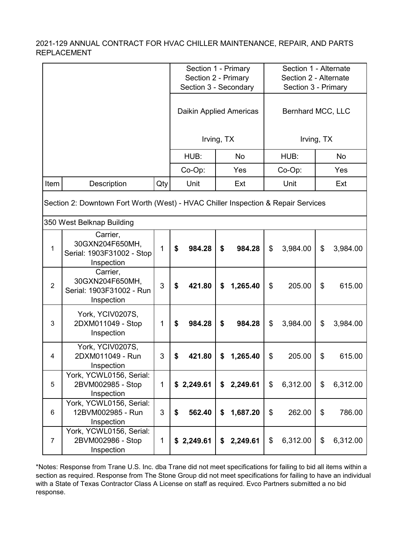|                                                                                                                |                                                                        |              | Section 1 - Primary<br>Section 2 - Primary<br>Section 3 - Secondary |                         | Section 1 - Alternate<br>Section 2 - Alternate |                     |  |  |  |
|----------------------------------------------------------------------------------------------------------------|------------------------------------------------------------------------|--------------|---------------------------------------------------------------------|-------------------------|------------------------------------------------|---------------------|--|--|--|
|                                                                                                                |                                                                        |              |                                                                     |                         |                                                | Section 3 - Primary |  |  |  |
|                                                                                                                |                                                                        |              |                                                                     | Daikin Applied Americas |                                                | Bernhard MCC, LLC   |  |  |  |
|                                                                                                                |                                                                        |              |                                                                     | Irving, TX              |                                                | Irving, TX          |  |  |  |
|                                                                                                                |                                                                        |              | HUB:                                                                | No                      | HUB:                                           | No                  |  |  |  |
|                                                                                                                |                                                                        |              | Co-Op:                                                              | Yes                     | Co-Op:                                         | Yes                 |  |  |  |
| Item                                                                                                           | Description                                                            | Qty          | Unit                                                                | Ext                     | Unit                                           | Ext                 |  |  |  |
| Section 2: Downtown Fort Worth (West) - HVAC Chiller Inspection & Repair Services<br>350 West Belknap Building |                                                                        |              |                                                                     |                         |                                                |                     |  |  |  |
|                                                                                                                |                                                                        |              |                                                                     |                         |                                                |                     |  |  |  |
| 1                                                                                                              | Carrier,<br>30GXN204F650MH,<br>Serial: 1903F31002 - Stop<br>Inspection | 1            | \$<br>984.28                                                        | \$<br>984.28            | \$<br>3,984.00                                 | \$<br>3,984.00      |  |  |  |
| $\overline{2}$                                                                                                 | Carrier,<br>30GXN204F650MH,<br>Serial: 1903F31002 - Run<br>Inspection  | 3            | \$<br>421.80                                                        | 1,265.40<br>\$          | \$<br>205.00                                   | \$<br>615.00        |  |  |  |
| 3                                                                                                              | York, YCIV0207S,<br>2DXM011049 - Stop<br>Inspection                    | 1            | 984.28<br>\$                                                        | \$<br>984.28            | \$<br>3,984.00                                 | \$<br>3,984.00      |  |  |  |
| 4                                                                                                              | York, YCIV0207S,<br>2DXM011049 - Run<br>Inspection                     | 3            | \$<br>421.80                                                        | \$<br>1,265.40          | \$<br>205.00                                   | \$<br>615.00        |  |  |  |
| 5                                                                                                              | York, YCWL0156, Serial:<br>2BVM002985 - Stop<br>Inspection             | $\mathbf{1}$ | \$2,249.61                                                          | \$<br>2,249.61          | \$<br>6,312.00                                 | \$<br>6,312.00      |  |  |  |
| 6                                                                                                              | York, YCWL0156, Serial:<br>12BVM002985 - Run<br>Inspection             | 3            | 562.40<br>\$                                                        | 1,687.20<br>\$          | \$<br>262.00                                   | \$<br>786.00        |  |  |  |
| $\overline{7}$                                                                                                 | York, YCWL0156, Serial:<br>2BVM002986 - Stop<br>Inspection             | $\mathbf{1}$ | \$2,249.61                                                          | 2,249.61<br>\$          | \$<br>6,312.00                                 | \$<br>6,312.00      |  |  |  |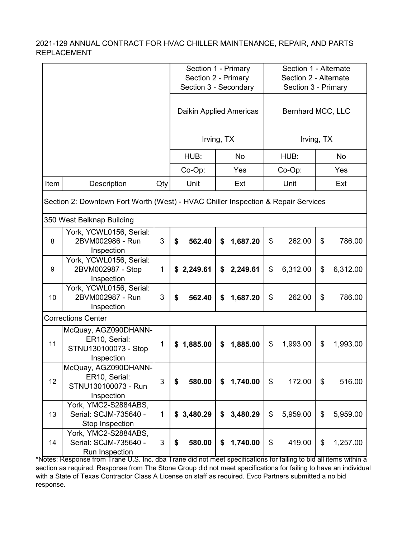|                                                                                   |                                                                             |              |                         | Section 1 - Primary   |                | Section 1 - Alternate |  |  |
|-----------------------------------------------------------------------------------|-----------------------------------------------------------------------------|--------------|-------------------------|-----------------------|----------------|-----------------------|--|--|
|                                                                                   |                                                                             |              |                         | Section 2 - Primary   |                | Section 2 - Alternate |  |  |
|                                                                                   |                                                                             |              |                         | Section 3 - Secondary |                | Section 3 - Primary   |  |  |
|                                                                                   |                                                                             |              | Daikin Applied Americas |                       |                | Bernhard MCC, LLC     |  |  |
|                                                                                   |                                                                             |              |                         | Irving, TX            |                | Irving, TX            |  |  |
|                                                                                   |                                                                             |              | HUB:                    | No                    | HUB:           | <b>No</b>             |  |  |
|                                                                                   |                                                                             |              | Co-Op:                  | Yes                   | Co-Op:         | Yes                   |  |  |
| Item                                                                              | Description                                                                 | Qty          | Unit                    | Ext                   | Unit           | Ext                   |  |  |
| Section 2: Downtown Fort Worth (West) - HVAC Chiller Inspection & Repair Services |                                                                             |              |                         |                       |                |                       |  |  |
|                                                                                   | 350 West Belknap Building                                                   |              |                         |                       |                |                       |  |  |
| 8                                                                                 | York, YCWL0156, Serial:<br>2BVM002986 - Run<br>Inspection                   | 3            | 562.40<br>\$            | \$<br>1,687.20        | \$<br>262.00   | \$<br>786.00          |  |  |
| 9                                                                                 | York, YCWL0156, Serial:<br>2BVM002987 - Stop<br>Inspection                  | 1            | 2,249.61<br>\$          | \$<br>2,249.61        | \$<br>6,312.00 | \$<br>6,312.00        |  |  |
| 10                                                                                | York, YCWL0156, Serial:<br>2BVM002987 - Run<br>Inspection                   | 3            | 562.40<br>\$            | 1,687.20<br>\$        | 262.00<br>\$   | 786.00<br>\$          |  |  |
|                                                                                   | <b>Corrections Center</b>                                                   |              |                         |                       |                |                       |  |  |
| 11                                                                                | McQuay, AGZ090DHANN-<br>ER10, Serial:<br>STNU130100073 - Stop<br>Inspection | $\mathbf{1}$ | 1,885.00<br>\$          | 1,885.00<br>\$        | \$<br>1,993.00 | \$<br>1,993.00        |  |  |
| 12                                                                                | McQuay, AGZ090DHANN-<br>ER10, Serial:<br>STNU130100073 - Run<br>Inspection  | 3            | 580.00<br>\$            | 1,740.00<br>\$        | \$<br>172.00   | \$<br>516.00          |  |  |
| 13                                                                                | York, YMC2-S2884ABS,<br>Serial: SCJM-735640 -<br>Stop Inspection            | 1            | \$3,480.29              | 3,480.29<br>\$        | \$<br>5,959.00 | \$<br>5,959.00        |  |  |
| 14                                                                                | York, YMC2-S2884ABS,<br>Serial: SCJM-735640 -<br>Run Inspection             | 3            | 580.00<br>\$            | \$<br>1,740.00        | \$<br>419.00   | \$<br>1,257.00        |  |  |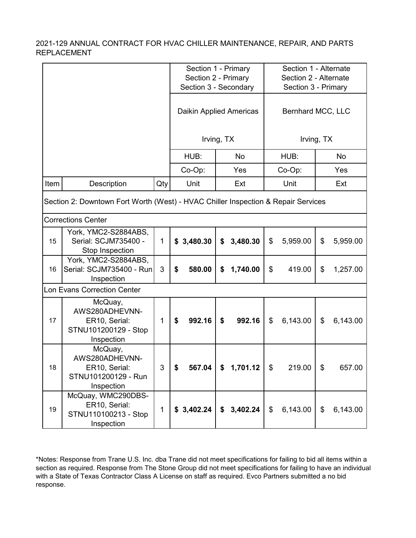|                                                                                   |                                                                                  |              |                         | Section 1 - Primary                          |                            | Section 1 - Alternate                        |  |  |
|-----------------------------------------------------------------------------------|----------------------------------------------------------------------------------|--------------|-------------------------|----------------------------------------------|----------------------------|----------------------------------------------|--|--|
|                                                                                   |                                                                                  |              |                         | Section 2 - Primary<br>Section 3 - Secondary |                            | Section 2 - Alternate<br>Section 3 - Primary |  |  |
|                                                                                   |                                                                                  |              | Daikin Applied Americas |                                              | Bernhard MCC, LLC          |                                              |  |  |
|                                                                                   |                                                                                  |              |                         | Irving, TX                                   |                            | Irving, TX                                   |  |  |
|                                                                                   |                                                                                  |              | HUB:                    | <b>No</b>                                    | HUB:                       | <b>No</b>                                    |  |  |
|                                                                                   |                                                                                  |              | Co-Op:                  | Yes                                          | Co-Op:                     | Yes                                          |  |  |
| Item                                                                              | Description                                                                      | Qty          | Unit                    | Ext                                          | Unit                       | Ext                                          |  |  |
| Section 2: Downtown Fort Worth (West) - HVAC Chiller Inspection & Repair Services |                                                                                  |              |                         |                                              |                            |                                              |  |  |
|                                                                                   | <b>Corrections Center</b>                                                        |              |                         |                                              |                            |                                              |  |  |
| 15                                                                                | York, YMC2-S2884ABS,<br>Serial: SCJM735400 -<br>Stop Inspection                  | $\mathbf 1$  | \$3,480.30              | \$<br>3,480.30                               | \$<br>5,959.00             | \$<br>5,959.00                               |  |  |
| 16                                                                                | York, YMC2-S2884ABS,<br>Serial: SCJM735400 - Run<br>Inspection                   | 3            | 580.00<br>\$            | 1,740.00<br>\$                               | \$<br>419.00               | \$<br>1,257.00                               |  |  |
|                                                                                   | <b>Lon Evans Correction Center</b>                                               |              |                         |                                              |                            |                                              |  |  |
| 17                                                                                | McQuay,<br>AWS280ADHEVNN-<br>ER10, Serial:<br>STNU101200129 - Stop<br>Inspection | $\mathbf{1}$ | 992.16<br>\$            | 992.16<br>\$                                 | \$<br>6,143.00             | \$<br>6,143.00                               |  |  |
| 18                                                                                | McQuay,<br>AWS280ADHEVNN-<br>ER10, Serial:<br>STNU101200129 - Run<br>Inspection  | 3            | 567.04                  | 1,701.12                                     | \$<br>219.00               | \$<br>657.00                                 |  |  |
| 19                                                                                | McQuay, WMC290DBS-<br>ER10, Serial:<br>STNU110100213 - Stop<br>Inspection        | $\mathbf{1}$ | \$3,402.24              | \$3,402.24                                   | $\mathfrak{S}$<br>6,143.00 | $\frac{1}{2}$<br>6,143.00                    |  |  |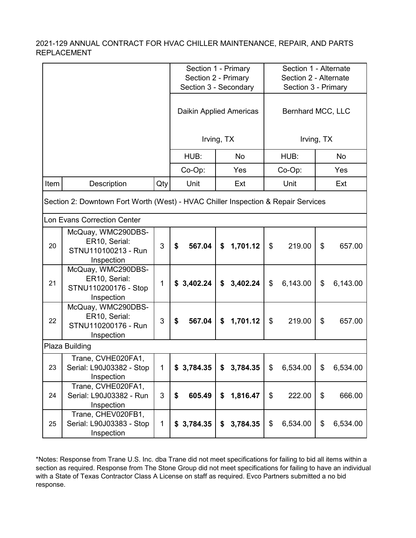|                                                                                   |                                                                           |              |                       | Section 1 - Primary<br>Section 2 - Primary |                   | Section 1 - Alternate<br>Section 2 - Alternate |  |  |
|-----------------------------------------------------------------------------------|---------------------------------------------------------------------------|--------------|-----------------------|--------------------------------------------|-------------------|------------------------------------------------|--|--|
|                                                                                   |                                                                           |              | Section 3 - Secondary |                                            |                   | Section 3 - Primary                            |  |  |
|                                                                                   |                                                                           |              |                       | Daikin Applied Americas                    | Bernhard MCC, LLC |                                                |  |  |
|                                                                                   |                                                                           |              |                       | Irving, TX                                 |                   | Irving, TX                                     |  |  |
|                                                                                   |                                                                           |              | HUB:                  | No                                         | HUB:              | No                                             |  |  |
|                                                                                   |                                                                           |              | Co-Op:                | Yes                                        | Co-Op:            | Yes                                            |  |  |
| Item                                                                              | Description                                                               | Qty          | Unit                  | Ext                                        | Unit              | Ext                                            |  |  |
| Section 2: Downtown Fort Worth (West) - HVAC Chiller Inspection & Repair Services |                                                                           |              |                       |                                            |                   |                                                |  |  |
|                                                                                   | <b>Lon Evans Correction Center</b>                                        |              |                       |                                            |                   |                                                |  |  |
| 20                                                                                | McQuay, WMC290DBS-<br>ER10, Serial:<br>STNU110100213 - Run<br>Inspection  | 3            | 567.04<br>\$          | 1,701.12<br>\$                             | \$<br>219.00      | \$<br>657.00                                   |  |  |
| 21                                                                                | McQuay, WMC290DBS-<br>ER10, Serial:<br>STNU110200176 - Stop<br>Inspection | $\mathbf 1$  | \$3,402.24            | 3,402.24<br>\$                             | \$<br>6,143.00    | \$<br>6,143.00                                 |  |  |
| 22                                                                                | McQuay, WMC290DBS-<br>ER10, Serial:<br>STNU110200176 - Run<br>Inspection  | 3            | \$<br>567.04          | 1,701.12<br>\$                             | \$<br>219.00      | \$<br>657.00                                   |  |  |
|                                                                                   | Plaza Building                                                            |              |                       |                                            |                   |                                                |  |  |
| 23                                                                                | Trane, CVHE020FA1,<br>Serial: L90J03382 - Stop<br>Inspection              | $\mathbf{1}$ | \$3,784.35            | 3,784.35                                   | \$<br>6,534.00    | $\frac{1}{2}$<br>6,534.00                      |  |  |
| 24                                                                                | Trane, CVHE020FA1,<br>Serial: L90J03382 - Run<br>Inspection               | 3            | 605.49<br>\$          | 1,816.47<br>\$                             | \$<br>222.00      | \$<br>666.00                                   |  |  |
| 25                                                                                | Trane, CHEV020FB1,<br>Serial: L90J03383 - Stop<br>Inspection              | $\mathbf{1}$ | \$3,784.35            | 3,784.35<br>\$                             | \$<br>6,534.00    | \$<br>6,534.00                                 |  |  |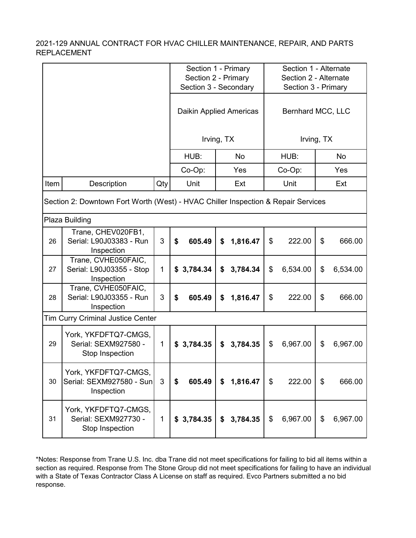|                                                                                   |                                                                 |              |                                | Section 1 - Primary<br>Section 2 - Primary<br>Section 3 - Secondary | Section 1 - Alternate<br>Section 2 - Alternate<br>Section 3 - Primary |                |  |  |
|-----------------------------------------------------------------------------------|-----------------------------------------------------------------|--------------|--------------------------------|---------------------------------------------------------------------|-----------------------------------------------------------------------|----------------|--|--|
|                                                                                   |                                                                 |              | <b>Daikin Applied Americas</b> |                                                                     | Bernhard MCC, LLC                                                     |                |  |  |
|                                                                                   |                                                                 |              |                                | Irving, TX                                                          |                                                                       | Irving, TX     |  |  |
|                                                                                   |                                                                 |              | HUB:                           | <b>No</b>                                                           | HUB:                                                                  | <b>No</b>      |  |  |
|                                                                                   |                                                                 |              | Co-Op:                         | Yes                                                                 | Co-Op:                                                                | Yes            |  |  |
| Item                                                                              | Description                                                     | Qty          | Unit                           | Ext                                                                 | Unit                                                                  | Ext            |  |  |
| Section 2: Downtown Fort Worth (West) - HVAC Chiller Inspection & Repair Services |                                                                 |              |                                |                                                                     |                                                                       |                |  |  |
|                                                                                   | Plaza Building                                                  |              |                                |                                                                     |                                                                       |                |  |  |
| 26                                                                                | Trane, CHEV020FB1,<br>Serial: L90J03383 - Run<br>Inspection     | 3            | \$<br>605.49                   | \$<br>1,816.47                                                      | \$<br>222.00                                                          | \$<br>666.00   |  |  |
| 27                                                                                | Trane, CVHE050FAIC,<br>Serial: L90J03355 - Stop<br>Inspection   | $\mathbf{1}$ | 3,784.34<br>\$                 | \$<br>3,784.34                                                      | \$<br>6,534.00                                                        | \$<br>6,534.00 |  |  |
| 28                                                                                | Trane, CVHE050FAIC,<br>Serial: L90J03355 - Run<br>Inspection    | 3            | 605.49<br>\$                   | \$<br>1,816.47                                                      | \$<br>222.00                                                          | \$<br>666.00   |  |  |
|                                                                                   | <b>Tim Curry Criminal Justice Center</b>                        |              |                                |                                                                     |                                                                       |                |  |  |
| 29                                                                                | York, YKFDFTQ7-CMGS,<br>Serial: SEXM927580 -<br>Stop Inspection | $\mathbf{1}$ | \$3,784.35                     | 3,784.35<br>\$                                                      | \$<br>6,967.00                                                        | \$<br>6,967.00 |  |  |
| 30                                                                                | York, YKFDFTQ7-CMGS,<br>Serial: SEXM927580 - Sun<br>Inspection  | 3            | 605.49<br>\$                   | 1,816.47<br>\$                                                      | \$<br>222.00                                                          | \$<br>666.00   |  |  |
| 31                                                                                | York, YKFDFTQ7-CMGS,<br>Serial: SEXM927730 -<br>Stop Inspection | $\mathbf 1$  | \$3,784.35                     | 3,784.35<br>\$                                                      | \$<br>6,967.00                                                        | 6,967.00<br>\$ |  |  |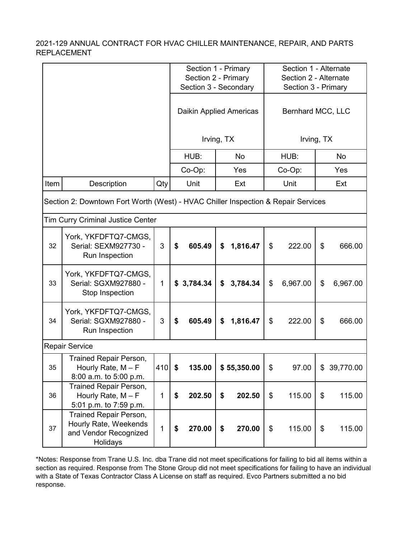|                                                                                                                               |                                                                                             |              |              | Section 1 - Primary<br>Section 2 - Primary |                     | Section 1 - Alternate<br>Section 2 - Alternate |  |  |
|-------------------------------------------------------------------------------------------------------------------------------|---------------------------------------------------------------------------------------------|--------------|--------------|--------------------------------------------|---------------------|------------------------------------------------|--|--|
|                                                                                                                               |                                                                                             |              |              | Section 3 - Secondary                      | Section 3 - Primary |                                                |  |  |
|                                                                                                                               |                                                                                             |              |              | Daikin Applied Americas                    | Bernhard MCC, LLC   |                                                |  |  |
|                                                                                                                               |                                                                                             |              |              | Irving, TX                                 |                     | Irving, TX                                     |  |  |
|                                                                                                                               |                                                                                             |              | HUB:         | No                                         | HUB:                | No                                             |  |  |
|                                                                                                                               |                                                                                             |              | Co-Op:       | Yes                                        | Co-Op:              | Yes                                            |  |  |
| Item                                                                                                                          | Description                                                                                 | Qty          | Unit         | Ext                                        | Unit                | Ext                                            |  |  |
| Section 2: Downtown Fort Worth (West) - HVAC Chiller Inspection & Repair Services<br><b>Tim Curry Criminal Justice Center</b> |                                                                                             |              |              |                                            |                     |                                                |  |  |
| 32                                                                                                                            | York, YKFDFTQ7-CMGS,<br>Serial: SEXM927730 -<br>Run Inspection                              | 3            | \$<br>605.49 | 1,816.47<br>\$                             | \$<br>222.00        | \$<br>666.00                                   |  |  |
| 33                                                                                                                            | York, YKFDFTQ7-CMGS,<br>Serial: SGXM927880 -<br>Stop Inspection                             | $\mathbf{1}$ | \$3,784.34   | 3,784.34<br>\$                             | 6,967.00<br>\$      | \$<br>6,967.00                                 |  |  |
| 34                                                                                                                            | York, YKFDFTQ7-CMGS,<br>Serial: SGXM927880 -<br>Run Inspection                              | 3            | 605.49<br>\$ | \$<br>1,816.47                             | \$<br>222.00        | \$<br>666.00                                   |  |  |
|                                                                                                                               | <b>Repair Service</b>                                                                       |              |              |                                            |                     |                                                |  |  |
| 35                                                                                                                            | Trained Repair Person,<br>Hourly Rate, $M - F$<br>8:00 a.m. to 5:00 p.m.                    | 410 \$       | 135.00       | \$55,350.00                                | \$<br>97.00         | \$39,770.00                                    |  |  |
| 36                                                                                                                            | Trained Repair Person,<br>Hourly Rate, $M - F$<br>5:01 p.m. to 7:59 p.m.                    | 1            | 202.50<br>\$ | \$<br>202.50                               | \$<br>115.00        | \$<br>115.00                                   |  |  |
| 37                                                                                                                            | <b>Trained Repair Person,</b><br>Hourly Rate, Weekends<br>and Vendor Recognized<br>Holidays | 1            | 270.00<br>\$ | \$<br>270.00                               | \$<br>115.00        | \$<br>115.00                                   |  |  |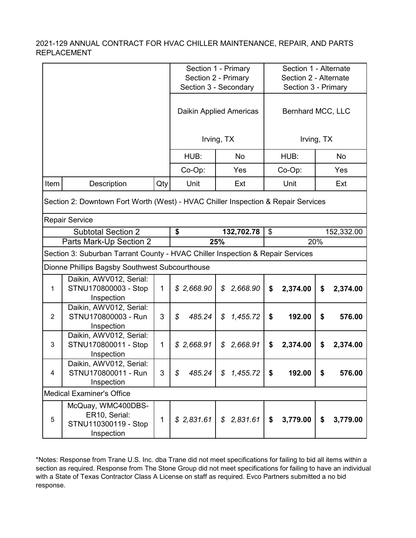|                           |                                                                                   |              |              | Section 1 - Primary<br>Section 2 - Primary |                     | Section 1 - Alternate<br>Section 2 - Alternate |  |  |  |
|---------------------------|-----------------------------------------------------------------------------------|--------------|--------------|--------------------------------------------|---------------------|------------------------------------------------|--|--|--|
|                           |                                                                                   |              |              | Section 3 - Secondary                      | Section 3 - Primary |                                                |  |  |  |
|                           |                                                                                   |              |              | Daikin Applied Americas                    |                     | Bernhard MCC, LLC                              |  |  |  |
|                           |                                                                                   |              |              | Irving, TX                                 |                     | Irving, TX                                     |  |  |  |
|                           |                                                                                   |              | HUB:         | No                                         | HUB:                | <b>No</b>                                      |  |  |  |
|                           |                                                                                   |              | Co-Op:       | Yes                                        | Co-Op:              | Yes                                            |  |  |  |
| Item                      | Description                                                                       | Qty          | Unit         | Ext                                        | Unit                | Ext                                            |  |  |  |
|                           | Section 2: Downtown Fort Worth (West) - HVAC Chiller Inspection & Repair Services |              |              |                                            |                     |                                                |  |  |  |
| <b>Repair Service</b>     |                                                                                   |              |              |                                            |                     |                                                |  |  |  |
| <b>Subtotal Section 2</b> |                                                                                   |              | \$           | 132,702.78                                 | \$                  | 152,332.00                                     |  |  |  |
|                           | Parts Mark-Up Section 2                                                           |              |              | 25%                                        |                     | 20%                                            |  |  |  |
|                           | Section 3: Suburban Tarrant County - HVAC Chiller Inspection & Repair Services    |              |              |                                            |                     |                                                |  |  |  |
|                           | Dionne Phillips Bagsby Southwest Subcourthouse                                    |              |              |                                            |                     |                                                |  |  |  |
| $\mathbf{1}$              | Daikin, AWV012, Serial:<br>STNU170800003 - Stop<br>Inspection                     | $\mathbf{1}$ | \$2,668.90   | 2,668.90<br>\$                             | \$<br>2,374.00      | \$<br>2,374.00                                 |  |  |  |
| $\overline{2}$            | Daikin, AWV012, Serial:<br>STNU170800003 - Run<br>Inspection                      | 3            | 485.24<br>\$ | \$<br>1,455.72                             | 192.00<br>\$        | \$<br>576.00                                   |  |  |  |
| 3                         | Daikin, AWV012, Serial:<br>STNU170800011 - Stop<br>Inspection                     | $\mathbf{1}$ | \$2,668.91   | 2,668.91<br>\$                             | 2,374.00<br>\$      | 2,374.00<br>\$                                 |  |  |  |
| $\overline{4}$            | Daikin, AWV012, Serial:<br>STNU170800011 - Run<br>Inspection                      | 3            | 485.24<br>\$ | \$<br>1,455.72                             | \$<br>192.00        | \$<br>576.00                                   |  |  |  |
|                           | <b>Medical Examiner's Office</b>                                                  |              |              |                                            |                     |                                                |  |  |  |
| 5                         | McQuay, WMC400DBS-<br>ER10, Serial:<br>STNU110300119 - Stop<br>Inspection         | 1            | \$2,831.61   | \$2,831.61                                 | 3,779.00<br>\$      | 3,779.00<br>\$                                 |  |  |  |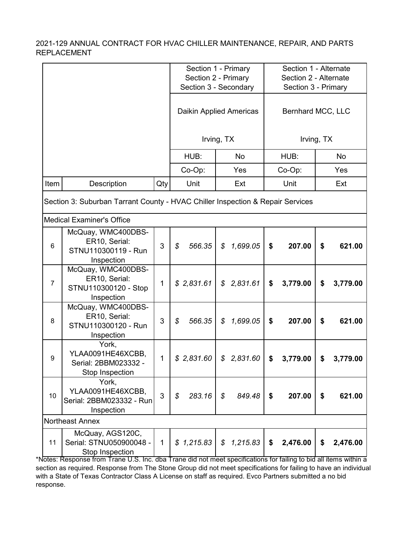|                                                                                |                                                                                                    |              |              | Section 1 - Primary     | Section 1 - Alternate |                |  |  |
|--------------------------------------------------------------------------------|----------------------------------------------------------------------------------------------------|--------------|--------------|-------------------------|-----------------------|----------------|--|--|
|                                                                                |                                                                                                    |              |              | Section 2 - Primary     | Section 2 - Alternate |                |  |  |
|                                                                                |                                                                                                    |              |              | Section 3 - Secondary   | Section 3 - Primary   |                |  |  |
|                                                                                |                                                                                                    |              |              | Daikin Applied Americas | Bernhard MCC, LLC     |                |  |  |
|                                                                                |                                                                                                    |              |              | Irving, TX              |                       | Irving, TX     |  |  |
|                                                                                |                                                                                                    |              | HUB:         | <b>No</b>               | HUB:                  | No             |  |  |
|                                                                                |                                                                                                    |              | Co-Op:       | Yes                     | Co-Op:                | Yes            |  |  |
| Item                                                                           | Description                                                                                        | Qty          | Unit         | Ext                     | Unit                  | Ext            |  |  |
| Section 3: Suburban Tarrant County - HVAC Chiller Inspection & Repair Services |                                                                                                    |              |              |                         |                       |                |  |  |
|                                                                                | <b>Medical Examiner's Office</b>                                                                   |              |              |                         |                       |                |  |  |
| $6\phantom{1}$                                                                 | McQuay, WMC400DBS-<br>ER10, Serial:<br>STNU110300119 - Run<br>Inspection                           | 3            | \$<br>566.35 | \$<br>1,699.05          | \$<br>207.00          | \$<br>621.00   |  |  |
| $\overline{7}$                                                                 | McQuay, WMC400DBS-<br>ER10, Serial:<br>STNU110300120 - Stop<br>Inspection                          | $\mathbf 1$  | \$2,831.61   | \$2,831.61              | 3,779.00<br>\$        | \$<br>3,779.00 |  |  |
| 8                                                                              | McQuay, WMC400DBS-<br>ER10, Serial:<br>STNU110300120 - Run<br>Inspection                           | 3            | 566.35<br>\$ | \$<br>1,699.05          | \$<br>207.00          | \$<br>621.00   |  |  |
| 9                                                                              | York,<br>YLAA0091HE46XCBB,<br>Serial: 2BBM023332 -<br>Stop Inspection                              | 1            | \$2,831.60   | \$<br>2,831.60          | \$<br>3,779.00        | \$<br>3,779.00 |  |  |
| 10                                                                             | York,<br>YLAA0091HE46XCBB,<br>Serial: 2BBM023332 - Run<br>Inspection                               | 3            | \$<br>283.16 | $\mathcal{L}$<br>849.48 | \$<br>207.00          | \$<br>621.00   |  |  |
|                                                                                | <b>Northeast Annex</b>                                                                             |              |              |                         |                       |                |  |  |
| 11                                                                             | McQuay, AGS120C,<br>Serial: STNU050900048 -<br>Stop Inspection                                     | $\mathbf{1}$ | \$1,215.83   | \$1,215.83              | \$<br>2,476.00        | \$<br>2,476.00 |  |  |
| Intee: Reenn                                                                   | e from Trane LLS, Inc. dha Trane did not meet specifications for failing to bid all items within a |              |              |                         |                       |                |  |  |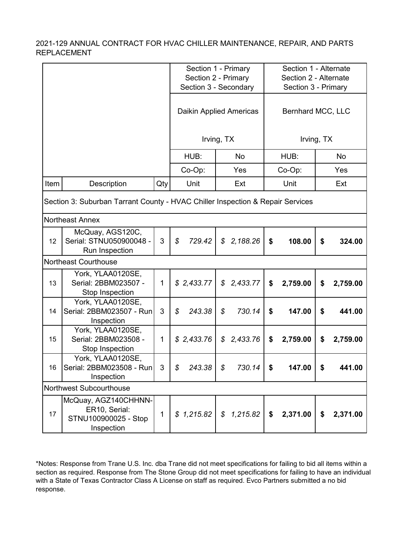|      |                                                                                |              | Section 1 - Primary<br>Section 2 - Primary<br>Section 3 - Secondary |                           |                | Section 1 - Alternate<br>Section 2 - Alternate<br>Section 3 - Primary |  |  |  |  |
|------|--------------------------------------------------------------------------------|--------------|---------------------------------------------------------------------|---------------------------|----------------|-----------------------------------------------------------------------|--|--|--|--|
|      |                                                                                |              |                                                                     | Daikin Applied Americas   |                | Bernhard MCC, LLC                                                     |  |  |  |  |
|      |                                                                                |              |                                                                     | Irving, TX                |                | Irving, TX                                                            |  |  |  |  |
|      |                                                                                |              | HUB:                                                                | No                        | HUB:           | No                                                                    |  |  |  |  |
|      |                                                                                |              | Co-Op:                                                              | Yes                       | Co-Op:         | Yes                                                                   |  |  |  |  |
| Item | Description                                                                    | Qty          | Unit                                                                | Ext                       | Unit           | Ext                                                                   |  |  |  |  |
|      | Section 3: Suburban Tarrant County - HVAC Chiller Inspection & Repair Services |              |                                                                     |                           |                |                                                                       |  |  |  |  |
|      | <b>Northeast Annex</b>                                                         |              |                                                                     |                           |                |                                                                       |  |  |  |  |
| 12   | McQuay, AGS120C,<br>Serial: STNU050900048 -<br>Run Inspection                  | 3            | \$<br>729.42                                                        | 2,188.26<br>\$            | \$<br>108.00   | \$<br>324.00                                                          |  |  |  |  |
|      | <b>Northeast Courthouse</b>                                                    |              |                                                                     |                           |                |                                                                       |  |  |  |  |
| 13   | York, YLAA0120SE,<br>Serial: 2BBM023507 -<br>Stop Inspection                   | $\mathbf{1}$ | \$2,433.77                                                          | 2,433.77<br>\$            | \$<br>2,759.00 | \$<br>2,759.00                                                        |  |  |  |  |
| 14   | York, YLAA0120SE,<br>Serial: 2BBM023507 - Run<br>Inspection                    | 3            | \$<br>243.38                                                        | 730.14<br>\$              | \$<br>147.00   | \$<br>441.00                                                          |  |  |  |  |
| 15   | York, YLAA0120SE,<br>Serial: 2BBM023508 -<br>Stop Inspection                   | $\mathbf 1$  | \$2,433.76                                                          | 2,433.76<br>\$            | \$<br>2,759.00 | \$<br>2,759.00                                                        |  |  |  |  |
| 16   | York, YLAA0120SE,<br>Serial: 2BBM023508 - Run<br>Inspection                    | $\mathbf{3}$ | 243.38<br>\$                                                        | 730.14<br>\$              | \$<br>147.00   | \$<br>441.00                                                          |  |  |  |  |
|      | Northwest Subcourthouse                                                        |              |                                                                     |                           |                |                                                                       |  |  |  |  |
| 17   | McQuay, AGZ140CHHNN-<br>ER10, Serial:<br>STNU100900025 - Stop<br>Inspection    | $\mathbf{1}$ | \$1,215.82                                                          | 1,215.82<br>$\mathcal{S}$ | \$<br>2,371.00 | \$<br>2,371.00                                                        |  |  |  |  |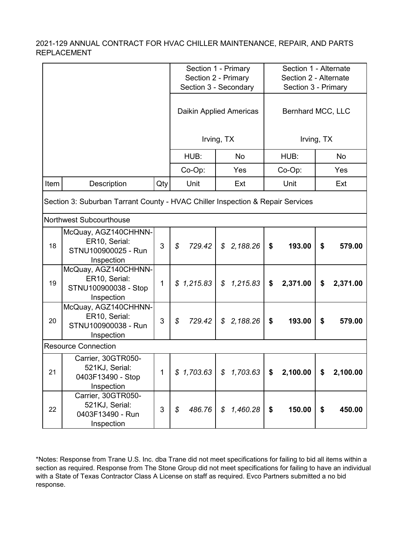|      |                                                                                |              |                         | Section 1 - Primary<br>Section 2 - Primary<br>Section 3 - Secondary |                | Section 1 - Alternate<br>Section 2 - Alternate<br>Section 3 - Primary |  |  |  |  |
|------|--------------------------------------------------------------------------------|--------------|-------------------------|---------------------------------------------------------------------|----------------|-----------------------------------------------------------------------|--|--|--|--|
|      |                                                                                |              | Daikin Applied Americas | Bernhard MCC, LLC                                                   |                |                                                                       |  |  |  |  |
|      |                                                                                |              |                         | Irving, TX                                                          |                | Irving, TX                                                            |  |  |  |  |
|      |                                                                                |              | HUB:                    | No                                                                  | HUB:           | <b>No</b>                                                             |  |  |  |  |
|      |                                                                                |              | Co-Op:                  | Yes                                                                 | Co-Op:         | Yes                                                                   |  |  |  |  |
| Item | Description                                                                    | Qty          | Unit                    | Ext                                                                 | Unit           | Ext                                                                   |  |  |  |  |
|      | Section 3: Suburban Tarrant County - HVAC Chiller Inspection & Repair Services |              |                         |                                                                     |                |                                                                       |  |  |  |  |
|      | Northwest Subcourthouse                                                        |              |                         |                                                                     |                |                                                                       |  |  |  |  |
| 18   | McQuay, AGZ140CHHNN-<br>ER10, Serial:<br>STNU100900025 - Run<br>Inspection     | 3            | \$<br>729.42            | \$<br>2,188.26                                                      | 193.00<br>\$   | \$<br>579.00                                                          |  |  |  |  |
| 19   | McQuay, AGZ140CHHNN-<br>ER10, Serial:<br>STNU100900038 - Stop<br>Inspection    | $\mathbf{1}$ | \$1,215.83              | 1,215.83<br>\$                                                      | 2,371.00<br>\$ | 2,371.00<br>\$                                                        |  |  |  |  |
| 20   | McQuay, AGZ140CHHNN-<br>ER10, Serial:<br>STNU100900038 - Run<br>Inspection     | 3            | \$<br>729.42            | \$<br>2,188.26                                                      | \$<br>193.00   | \$<br>579.00                                                          |  |  |  |  |
|      | <b>Resource Connection</b>                                                     |              |                         |                                                                     |                |                                                                       |  |  |  |  |
| 21   | Carrier, 30GTR050-<br>521KJ, Serial:<br>0403F13490 - Stop<br>Inspection        | 1            | \$1,703.63              | 1,703.63<br>\$                                                      | 2,100.00<br>\$ | 2,100.00<br>\$                                                        |  |  |  |  |
| 22   | Carrier, 30GTR050-<br>521KJ, Serial:<br>0403F13490 - Run<br>Inspection         | 3            | 486.76<br>\$            | 1,460.28<br>\$                                                      | 150.00<br>\$   | 450.00<br>\$                                                          |  |  |  |  |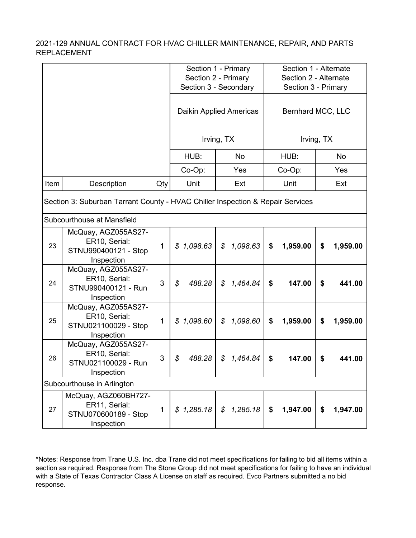|      |                                                                                |              |              | Section 1 - Primary<br>Section 2 - Primary<br>Section 3 - Secondary | Section 1 - Alternate<br>Section 2 - Alternate<br>Section 3 - Primary |                |  |  |  |
|------|--------------------------------------------------------------------------------|--------------|--------------|---------------------------------------------------------------------|-----------------------------------------------------------------------|----------------|--|--|--|
|      |                                                                                |              |              | Daikin Applied Americas                                             | Bernhard MCC, LLC                                                     |                |  |  |  |
|      |                                                                                |              |              | Irving, TX                                                          |                                                                       | Irving, TX     |  |  |  |
|      |                                                                                |              | HUB:         | No                                                                  | HUB:                                                                  | No             |  |  |  |
|      |                                                                                |              | Co-Op:       | Yes                                                                 | Co-Op:                                                                | Yes            |  |  |  |
| Item | Description                                                                    | Qty          | Unit         | Ext                                                                 | Unit                                                                  | Ext            |  |  |  |
|      | Section 3: Suburban Tarrant County - HVAC Chiller Inspection & Repair Services |              |              |                                                                     |                                                                       |                |  |  |  |
|      | Subcourthouse at Mansfield                                                     |              |              |                                                                     |                                                                       |                |  |  |  |
| 23   | McQuay, AGZ055AS27-<br>ER10, Serial:<br>STNU990400121 - Stop<br>Inspection     | $\mathbf{1}$ | \$1,098.63   | 1,098.63<br>\$                                                      | \$<br>1,959.00                                                        | \$<br>1,959.00 |  |  |  |
| 24   | McQuay, AGZ055AS27-<br>ER10, Serial:<br>STNU990400121 - Run<br>Inspection      | 3            | \$<br>488.28 | 1,464.84<br>\$                                                      | 147.00<br>\$                                                          | \$<br>441.00   |  |  |  |
| 25   | McQuay, AGZ055AS27-<br>ER10, Serial:<br>STNU021100029 - Stop<br>Inspection     | $\mathbf{1}$ | \$1,098.60   | 1,098.60<br>\$                                                      | \$<br>1,959.00                                                        | \$<br>1,959.00 |  |  |  |
| 26   | McQuay, AGZ055AS27-<br>ER10, Serial:<br>STNU021100029 - Run<br>Inspection      | 3            | 488.28<br>\$ | \$<br>1,464.84                                                      | \$<br>147.00                                                          | \$<br>441.00   |  |  |  |
|      | Subcourthouse in Arlington                                                     |              |              |                                                                     |                                                                       |                |  |  |  |
| 27   | McQuay, AGZ060BH727-<br>ER11, Serial:<br>STNU070600189 - Stop<br>Inspection    | $\mathbf{1}$ | \$1,285.18   | 1,285.18<br>\$                                                      | 1,947.00<br>\$                                                        | \$<br>1,947.00 |  |  |  |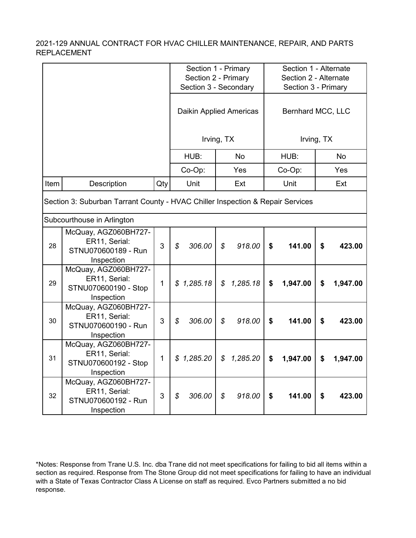|      |                                                                                |              | Section 1 - Primary<br>Section 2 - Primary<br>Section 3 - Secondary | Section 1 - Alternate<br>Section 2 - Alternate<br>Section 3 - Primary |                                     |                |  |  |  |  |
|------|--------------------------------------------------------------------------------|--------------|---------------------------------------------------------------------|-----------------------------------------------------------------------|-------------------------------------|----------------|--|--|--|--|
|      |                                                                                |              | Daikin Applied Americas                                             |                                                                       | Bernhard MCC, LLC                   |                |  |  |  |  |
|      |                                                                                |              |                                                                     | Irving, TX                                                            |                                     | Irving, TX     |  |  |  |  |
|      |                                                                                |              | HUB:                                                                | <b>No</b>                                                             | HUB:                                | <b>No</b>      |  |  |  |  |
|      |                                                                                |              | Co-Op:                                                              | Yes                                                                   | Co-Op:                              | Yes            |  |  |  |  |
| Item | Description                                                                    | Qty          | Unit                                                                | Ext                                                                   | Unit                                | Ext            |  |  |  |  |
|      | Section 3: Suburban Tarrant County - HVAC Chiller Inspection & Repair Services |              |                                                                     |                                                                       |                                     |                |  |  |  |  |
|      | Subcourthouse in Arlington                                                     |              |                                                                     |                                                                       |                                     |                |  |  |  |  |
| 28   | McQuay, AGZ060BH727-<br>ER11, Serial:<br>STNU070600189 - Run<br>Inspection     | 3            | \$<br>306.00                                                        | \$<br>918.00                                                          | \$<br>141.00                        | \$<br>423.00   |  |  |  |  |
| 29   | McQuay, AGZ060BH727-<br>ER11, Serial:<br>STNU070600190 - Stop<br>Inspection    | $\mathbf{1}$ | \$1,285.18                                                          | 1,285.18<br>\$                                                        | \$<br>1,947.00                      | \$<br>1,947.00 |  |  |  |  |
| 30   | McQuay, AGZ060BH727-<br>ER11, Serial:<br>STNU070600190 - Run<br>Inspection     | 3            | 306.00<br>\$                                                        | $\mathcal{S}$<br>918.00                                               | $\boldsymbol{\mathsf{s}}$<br>141.00 | \$<br>423.00   |  |  |  |  |
| 31   | McQuay, AGZ060BH727-<br>ER11, Serial:<br>STNU070600192 - Stop<br>Inspection    | $\mathbf{1}$ | \$1,285.20                                                          | $\mathcal{S}$<br>1,285.20                                             | \$<br>1,947.00                      | \$<br>1,947.00 |  |  |  |  |
| 32   | McQuay, AGZ060BH727-<br>ER11, Serial:<br>STNU070600192 - Run<br>Inspection     | 3            | 306.00<br>\$                                                        | \$<br>918.00                                                          | \$<br>141.00                        | \$<br>423.00   |  |  |  |  |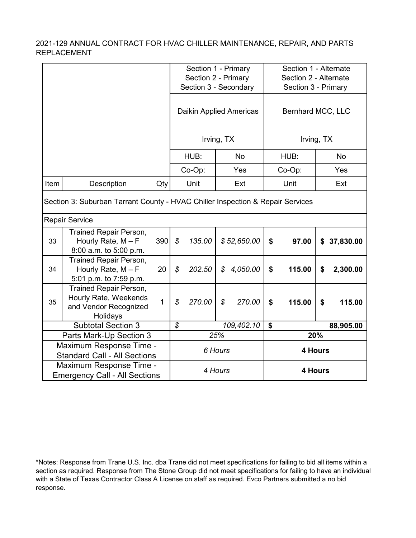|      |                                                                                             |                | Section 1 - Primary<br>Section 2 - Primary<br>Section 3 - Secondary |        |               | Section 1 - Alternate<br>Section 2 - Alternate<br>Section 3 - Primary |                   |        |     |             |
|------|---------------------------------------------------------------------------------------------|----------------|---------------------------------------------------------------------|--------|---------------|-----------------------------------------------------------------------|-------------------|--------|-----|-------------|
|      |                                                                                             |                | Daikin Applied Americas                                             |        |               | Bernhard MCC, LLC                                                     |                   |        |     |             |
|      |                                                                                             |                | Irving, TX                                                          |        |               |                                                                       | Irving, TX        |        |     |             |
|      |                                                                                             |                |                                                                     | HUB:   |               | <b>No</b>                                                             |                   | HUB:   |     | <b>No</b>   |
|      |                                                                                             |                |                                                                     | Co-Op: |               | Yes                                                                   |                   | Co-Op: |     | Yes         |
| Item | Description                                                                                 | Qty            |                                                                     | Unit   |               | Ext                                                                   |                   | Unit   |     | Ext         |
|      | Section 3: Suburban Tarrant County - HVAC Chiller Inspection & Repair Services              |                |                                                                     |        |               |                                                                       |                   |        |     |             |
|      | <b>Repair Service</b>                                                                       |                |                                                                     |        |               |                                                                       |                   |        |     |             |
| 33   | <b>Trained Repair Person,</b><br>Hourly Rate, $M - F$<br>8:00 a.m. to 5:00 p.m.             | 390            | $\boldsymbol{\mathcal{S}}$                                          | 135.00 |               | \$52,650.00                                                           | \$                | 97.00  |     | \$37,830.00 |
| 34   | <b>Trained Repair Person,</b><br>Hourly Rate, $M - F$<br>5:01 p.m. to 7:59 p.m.             | 20             | \$                                                                  | 202.50 | \$            | 4,050.00                                                              | \$                | 115.00 | \$  | 2,300.00    |
| 35   | <b>Trained Repair Person,</b><br>Hourly Rate, Weekends<br>and Vendor Recognized<br>Holidays | $\overline{1}$ | \$                                                                  | 270.00 | $\mathcal{S}$ | 270.00                                                                | $\boldsymbol{\$}$ | 115.00 | \$  | 115.00      |
|      | <b>Subtotal Section 3</b>                                                                   |                | $\mathcal{S}$                                                       |        |               | 109,402.10                                                            | \$                |        |     | 88,905.00   |
|      | Parts Mark-Up Section 3                                                                     |                |                                                                     |        | 25%           |                                                                       |                   |        | 20% |             |
|      | Maximum Response Time -<br><b>Standard Call - All Sections</b>                              |                | 6 Hours                                                             |        |               | 4 Hours                                                               |                   |        |     |             |
|      | Maximum Response Time -<br><b>Emergency Call - All Sections</b>                             |                |                                                                     |        | 4 Hours       |                                                                       | 4 Hours           |        |     |             |

<sup>\*</sup>Notes: Response from Trane U.S. Inc. dba Trane did not meet specifications for failing to bid all items within a section as required. Response from The Stone Group did not meet specifications for failing to have an individual with a State of Texas Contractor Class A License on staff as required. Evco Partners submitted a no bid response.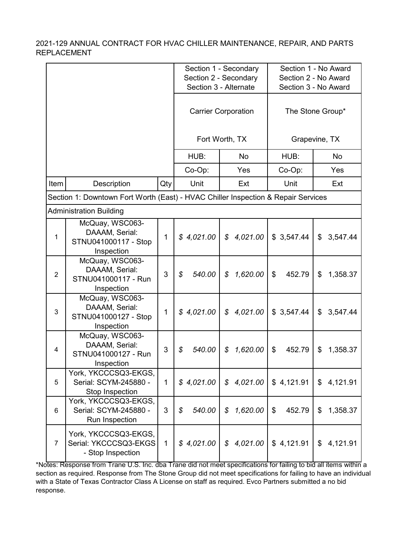|                |                                                                                   |              |              | Section 1 - Secondary                  |                      | Section 1 - No Award |  |
|----------------|-----------------------------------------------------------------------------------|--------------|--------------|----------------------------------------|----------------------|----------------------|--|
|                |                                                                                   |              |              | Section 2 - Secondary                  |                      | Section 2 - No Award |  |
|                |                                                                                   |              |              | Section 3 - Alternate                  | Section 3 - No Award |                      |  |
|                |                                                                                   |              |              | <b>Carrier Corporation</b>             |                      | The Stone Group*     |  |
|                |                                                                                   |              |              | Fort Worth, TX                         |                      | Grapevine, TX        |  |
|                |                                                                                   |              | HUB:         | No                                     | HUB:                 | No                   |  |
|                |                                                                                   |              | Co-Op:       | Yes                                    | Co-Op:               | Yes                  |  |
| Item           | Description                                                                       | Qty          | Unit         | Ext                                    | Unit                 | Ext                  |  |
|                | Section 1: Downtown Fort Worth (East) - HVAC Chiller Inspection & Repair Services |              |              |                                        |                      |                      |  |
|                | <b>Administration Building</b>                                                    |              |              |                                        |                      |                      |  |
| 1              | McQuay, WSC063-<br>DAAAM, Serial:<br>STNU041000117 - Stop<br>Inspection           | 1            | \$4,021.00   | 4,021.00<br>$\mathcal{S}$              | \$3,547.44           | \$<br>3,547.44       |  |
| $\overline{2}$ | McQuay, WSC063-<br>DAAAM, Serial:<br>STNU041000117 - Run<br>Inspection            | 3            | \$<br>540.00 | \$<br>1,620.00                         | \$<br>452.79         | \$<br>1,358.37       |  |
| $\mathbf{3}$   | McQuay, WSC063-<br>DAAAM, Serial:<br>STNU041000127 - Stop<br>Inspection           | 1            | \$4,021.00   | 4,021.00<br>$\boldsymbol{\mathcal{S}}$ | \$3,547.44           | \$<br>3,547.44       |  |
| 4              | McQuay, WSC063-<br>DAAAM, Serial:<br>STNU041000127 - Run<br>Inspection            | 3            | \$<br>540.00 | \$<br>1,620.00                         | 452.79<br>\$         | 1,358.37<br>\$       |  |
| 5              | York, YKCCCSQ3-EKGS,<br>Serial: SCYM-245880 -<br>Stop Inspection                  | $\mathbf{1}$ | \$4,021.00   | 4,021.00<br>\$                         | \$4,121.91           | \$<br>4,121.91       |  |
| 6              | York, YKCCCSQ3-EKGS,<br>Serial: SCYM-245880 -<br>Run Inspection                   | 3            | \$<br>540.00 | 1,620.00<br>\$                         | 452.79<br>\$         | \$<br>1,358.37       |  |
| $\overline{7}$ | York, YKCCCSQ3-EKGS,<br>Serial: YKCCCSQ3-EKGS<br>- Stop Inspection                | $\mathbf{1}$ | \$4,021.00   | 4,021.00<br>\$                         | \$4,121.91           | \$<br>4,121.91       |  |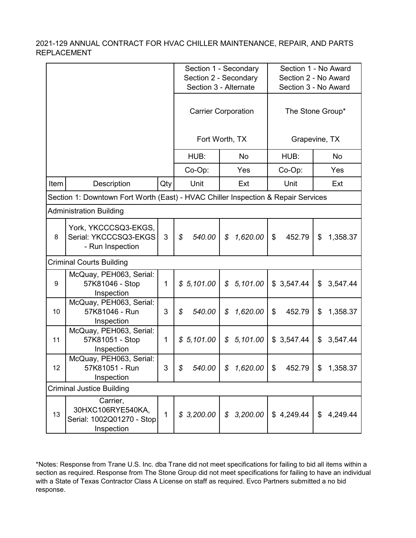|                                                                                   |                                                                          |              |                         | Section 1 - Secondary                          |              | Section 1 - No Award                         |  |
|-----------------------------------------------------------------------------------|--------------------------------------------------------------------------|--------------|-------------------------|------------------------------------------------|--------------|----------------------------------------------|--|
|                                                                                   |                                                                          |              |                         | Section 2 - Secondary<br>Section 3 - Alternate |              | Section 2 - No Award<br>Section 3 - No Award |  |
|                                                                                   |                                                                          |              |                         | <b>Carrier Corporation</b>                     |              | The Stone Group*                             |  |
|                                                                                   |                                                                          |              |                         | Fort Worth, TX                                 |              | Grapevine, TX                                |  |
|                                                                                   |                                                                          |              | HUB:                    | <b>No</b>                                      | HUB:         | <b>No</b>                                    |  |
|                                                                                   |                                                                          |              | Co-Op:                  | Yes                                            | Co-Op:       | Yes                                          |  |
| Item                                                                              | Description                                                              | Qty          | Unit                    | Ext                                            | Unit         | Ext                                          |  |
| Section 1: Downtown Fort Worth (East) - HVAC Chiller Inspection & Repair Services |                                                                          |              |                         |                                                |              |                                              |  |
|                                                                                   | <b>Administration Building</b>                                           |              |                         |                                                |              |                                              |  |
| 8                                                                                 | York, YKCCCSQ3-EKGS,<br>Serial: YKCCCSQ3-EKGS<br>- Run Inspection        | 3            | $\mathcal{S}$<br>540.00 | \$<br>1,620.00                                 | \$<br>452.79 | \$<br>1,358.37                               |  |
|                                                                                   | <b>Criminal Courts Building</b>                                          |              |                         |                                                |              |                                              |  |
| 9                                                                                 | McQuay, PEH063, Serial:<br>57K81046 - Stop<br>Inspection                 | $\mathbf{1}$ | \$5,101.00              | 5,101.00<br>$\mathcal{S}$                      | \$3,547.44   | \$<br>3,547.44                               |  |
| 10                                                                                | McQuay, PEH063, Serial:<br>57K81046 - Run<br>Inspection                  | 3            | 540.00<br>\$            | 1,620.00<br>\$                                 | \$<br>452.79 | \$<br>1,358.37                               |  |
| 11                                                                                | McQuay, PEH063, Serial:<br>57K81051 - Stop<br>Inspection                 | 1            | \$5,101.00              | 5,101.00<br>$\boldsymbol{\mathcal{S}}$         | \$3,547.44   | 3,547.44<br>\$                               |  |
| 12                                                                                | McQuay, PEH063, Serial:<br>57K81051 - Run<br>Inspection                  | 3            | \$                      | $540.00$   \$ 1,620.00   \$                    | 452.79       | \$<br>1,358.37                               |  |
|                                                                                   | <b>Criminal Justice Building</b>                                         |              |                         |                                                |              |                                              |  |
| 13                                                                                | Carrier,<br>30HXC106RYE540KA,<br>Serial: 1002Q01270 - Stop<br>Inspection | $\mathbf{1}$ | \$3,200.00              | \$3,200.00                                     | \$4,249.44   | \$<br>4,249.44                               |  |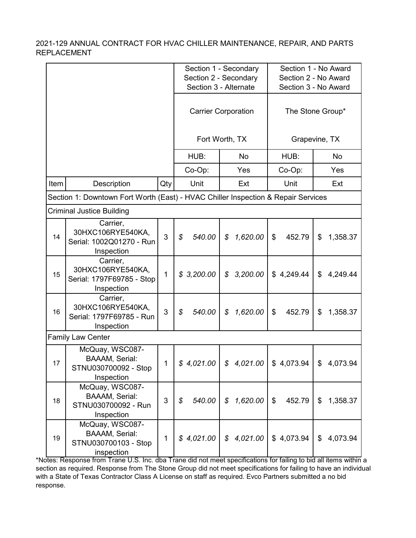|      |                                                                                   |              |                                      | Section 1 - Secondary                  |                      | Section 1 - No Award |  |
|------|-----------------------------------------------------------------------------------|--------------|--------------------------------------|----------------------------------------|----------------------|----------------------|--|
|      |                                                                                   |              |                                      | Section 2 - Secondary                  | Section 2 - No Award |                      |  |
|      |                                                                                   |              |                                      | Section 3 - Alternate                  | Section 3 - No Award |                      |  |
|      |                                                                                   |              |                                      | <b>Carrier Corporation</b>             | The Stone Group*     |                      |  |
|      |                                                                                   |              |                                      | Fort Worth, TX                         |                      | Grapevine, TX        |  |
|      |                                                                                   |              | HUB:                                 | <b>No</b>                              | HUB:                 | No                   |  |
|      |                                                                                   |              | Co-Op:                               | Yes                                    | Co-Op:               | Yes                  |  |
| Item | Description                                                                       | Qty          | Unit                                 | Ext                                    | Unit                 | Ext                  |  |
|      | Section 1: Downtown Fort Worth (East) - HVAC Chiller Inspection & Repair Services |              |                                      |                                        |                      |                      |  |
|      | Criminal Justice Building                                                         |              |                                      |                                        |                      |                      |  |
| 14   | Carrier,<br>30HXC106RYE540KA,<br>Serial: 1002Q01270 - Run<br>Inspection           | 3            | \$<br>540.00                         | \$<br>1,620.00                         | \$<br>452.79         | \$<br>1,358.37       |  |
| 15   | Carrier,<br>30HXC106RYE540KA,<br>Serial: 1797F69785 - Stop<br>Inspection          | $\mathbf{1}$ | \$3,200.00                           | 3,200.00<br>$\boldsymbol{\mathcal{S}}$ | \$4,249.44           | \$<br>4,249.44       |  |
| 16   | Carrier,<br>30HXC106RYE540KA,<br>Serial: 1797F69785 - Run<br>Inspection           | 3            | \$<br>540.00                         | 1,620.00<br>\$                         | 452.79<br>\$         | \$<br>1,358.37       |  |
|      | <b>Family Law Center</b>                                                          |              |                                      |                                        |                      |                      |  |
| 17   | McQuay, WSC087-<br><b>BAAAM, Serial:</b><br>STNU030700092 - Stop<br>Inspection    | 1            | \$4,021.00                           | \$4,021.00                             | \$4,073.94           | \$<br>4,073.94       |  |
| 18   | McQuay, WSC087-<br><b>BAAAM, Serial:</b><br>STNU030700092 - Run<br>Inspection     | 3            | $\boldsymbol{\mathcal{S}}$<br>540.00 | $\mathcal{L}$<br>1,620.00              | \$<br>452.79         | \$<br>1,358.37       |  |
| 19   | McQuay, WSC087-<br><b>BAAAM, Serial:</b><br>STNU030700103 - Stop<br>inspection    | $\mathbf{1}$ | \$4,021.00                           | \$4,021.00                             | \$4,073.94           | 4,073.94<br>\$       |  |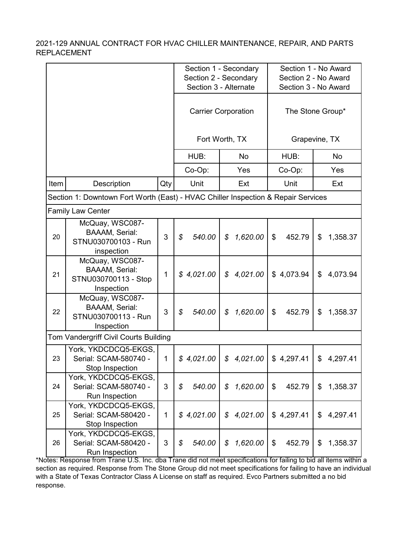|      |                                                                                   |              |                         | Section 1 - Secondary                  |                      | Section 1 - No Award |  |
|------|-----------------------------------------------------------------------------------|--------------|-------------------------|----------------------------------------|----------------------|----------------------|--|
|      |                                                                                   |              |                         | Section 2 - Secondary                  | Section 2 - No Award |                      |  |
|      |                                                                                   |              |                         | Section 3 - Alternate                  | Section 3 - No Award |                      |  |
|      |                                                                                   |              |                         | <b>Carrier Corporation</b>             |                      | The Stone Group*     |  |
|      |                                                                                   |              |                         | Fort Worth, TX                         |                      | Grapevine, TX        |  |
|      |                                                                                   |              | HUB:                    | No                                     | HUB:                 | No                   |  |
|      |                                                                                   |              | Co-Op:                  | Yes                                    | Co-Op:               | Yes                  |  |
| Item | Description                                                                       | Qty          | Unit                    | Ext                                    | Unit                 | Ext                  |  |
|      | Section 1: Downtown Fort Worth (East) - HVAC Chiller Inspection & Repair Services |              |                         |                                        |                      |                      |  |
|      | <b>Family Law Center</b>                                                          |              |                         |                                        |                      |                      |  |
| 20   | McQuay, WSC087-<br><b>BAAAM, Serial:</b><br>STNU030700103 - Run<br>inspection     | 3            | $\mathcal{L}$<br>540.00 | \$<br>1,620.00                         | \$<br>452.79         | \$<br>1,358.37       |  |
| 21   | McQuay, WSC087-<br><b>BAAAM, Serial:</b><br>STNU030700113 - Stop<br>Inspection    | $\mathbf{1}$ | \$4,021.00              | $\boldsymbol{\mathcal{S}}$<br>4,021.00 | \$4,073.94           | \$<br>4,073.94       |  |
| 22   | McQuay, WSC087-<br><b>BAAAM, Serial:</b><br>STNU030700113 - Run<br>Inspection     | 3            | \$<br>540.00            | 1,620.00<br>\$                         | 452.79<br>\$         | \$<br>1,358.37       |  |
|      | Tom Vandergriff Civil Courts Building                                             |              |                         |                                        |                      |                      |  |
| 23   | York, YKDCDCQ5-EKGS,<br>Serial: SCAM-580740 -<br>Stop Inspection                  | $\mathbf{1}$ | \$4,021.00              | \$<br>4,021.00                         | \$4,297.41           | \$<br>4,297.41       |  |
| 24   | York, YKDCDCQ5-EKGS,<br>Serial: SCAM-580740 -<br>Run Inspection                   | 3            | \$<br>540.00            | \$<br>1,620.00                         | \$<br>452.79         | \$<br>1,358.37       |  |
| 25   | York, YKDCDCQ5-EKGS,<br>Serial: SCAM-580420 -<br>Stop Inspection                  | $\mathbf{1}$ | \$4,021.00              | 4,021.00<br>\$                         | \$4,297.41           | \$<br>4,297.41       |  |
| 26   | York, YKDCDCQ5-EKGS,<br>Serial: SCAM-580420 -<br>Run Inspection                   | 3            | 540.00<br>\$            | 1,620.00<br>\$                         | \$<br>452.79         | \$<br>1,358.37       |  |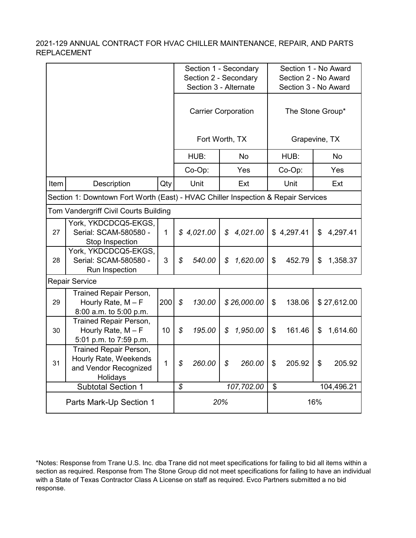|                                                                                   |                                                                                             |              | Section 1 - Secondary<br>Section 2 - Secondary<br>Section 3 - Alternate |                            |               | Section 1 - No Award<br>Section 2 - No Award<br>Section 3 - No Award |                  |            |    |             |
|-----------------------------------------------------------------------------------|---------------------------------------------------------------------------------------------|--------------|-------------------------------------------------------------------------|----------------------------|---------------|----------------------------------------------------------------------|------------------|------------|----|-------------|
|                                                                                   |                                                                                             |              |                                                                         | <b>Carrier Corporation</b> |               |                                                                      | The Stone Group* |            |    |             |
|                                                                                   |                                                                                             |              | Fort Worth, TX                                                          |                            |               |                                                                      | Grapevine, TX    |            |    |             |
|                                                                                   |                                                                                             |              |                                                                         | HUB:                       |               | <b>No</b>                                                            |                  | HUB:       |    | No          |
|                                                                                   |                                                                                             |              |                                                                         | Co-Op:                     |               | Yes                                                                  |                  | Co-Op:     |    | Yes         |
| Item                                                                              | Description                                                                                 | Qty          |                                                                         | Unit                       |               | Ext                                                                  |                  | Unit       |    | Ext         |
| Section 1: Downtown Fort Worth (East) - HVAC Chiller Inspection & Repair Services |                                                                                             |              |                                                                         |                            |               |                                                                      |                  |            |    |             |
|                                                                                   | Tom Vandergriff Civil Courts Building                                                       |              |                                                                         |                            |               |                                                                      |                  |            |    |             |
| 27                                                                                | York, YKDCDCQ5-EKGS,<br>Serial: SCAM-580580 -<br>Stop Inspection                            | $\mathbf{1}$ |                                                                         | \$4,021.00                 | $\mathcal{S}$ | 4,021.00                                                             |                  | \$4,297.41 | \$ | 4,297.41    |
| 28                                                                                | York, YKDCDCQ5-EKGS,<br>Serial: SCAM-580580 -<br>Run Inspection                             | 3            | $\boldsymbol{\mathcal{S}}$                                              | 540.00                     | \$            | 1,620.00                                                             | \$               | 452.79     | \$ | 1,358.37    |
|                                                                                   | <b>Repair Service</b>                                                                       |              |                                                                         |                            |               |                                                                      |                  |            |    |             |
| 29                                                                                | Trained Repair Person,<br>Hourly Rate, $M - F$<br>8:00 a.m. to 5:00 p.m.                    | 200          | $\boldsymbol{\mathcal{S}}$                                              | 130.00                     |               | \$26,000.00                                                          | \$               | 138.06     |    | \$27,612.00 |
| 30                                                                                | <b>Trained Repair Person,</b><br>Hourly Rate, $M - F$<br>5:01 p.m. to 7:59 p.m.             | 10           | \$                                                                      | 195.00                     | \$            | 1,950.00                                                             | \$               | 161.46     | \$ | 1,614.60    |
| 31                                                                                | <b>Trained Repair Person,</b><br>Hourly Rate, Weekends<br>and Vendor Recognized<br>Holidays | 1            | $\mathcal{L}$                                                           | 260.00                     | \$            | 260.00                                                               | \$               | 205.92     | \$ | 205.92      |
|                                                                                   | <b>Subtotal Section 1</b>                                                                   |              | \$                                                                      |                            |               | 107,702.00                                                           | \$<br>104,496.21 |            |    |             |
|                                                                                   | Parts Mark-Up Section 1                                                                     |              |                                                                         |                            | 20%           |                                                                      | 16%              |            |    |             |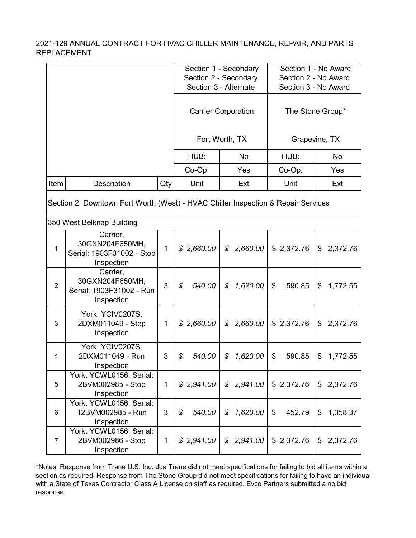|                                                                                   |                                                                        |              | Section 1 - Secondary<br>Section 2 - Secondary<br>Section 3 - Alternate |                            |               | Section 1 - No Award<br>Section 2 - No Award<br>Section 3 - No Award |  |  |  |
|-----------------------------------------------------------------------------------|------------------------------------------------------------------------|--------------|-------------------------------------------------------------------------|----------------------------|---------------|----------------------------------------------------------------------|--|--|--|
|                                                                                   |                                                                        |              |                                                                         | <b>Carrier Corporation</b> |               | The Stone Group*                                                     |  |  |  |
|                                                                                   |                                                                        |              |                                                                         | Fort Worth, TX             | Grapevine, TX |                                                                      |  |  |  |
|                                                                                   |                                                                        |              | HUB:                                                                    | <b>No</b>                  | HUB:          | No                                                                   |  |  |  |
|                                                                                   |                                                                        |              | Co-Op:                                                                  | Yes                        | Co-Op:        | Yes                                                                  |  |  |  |
| Item                                                                              | Description                                                            | Qty          | Unit                                                                    | Ext                        | Unit          | Ext                                                                  |  |  |  |
| Section 2: Downtown Fort Worth (West) - HVAC Chiller Inspection & Repair Services |                                                                        |              |                                                                         |                            |               |                                                                      |  |  |  |
|                                                                                   | 350 West Belknap Building                                              |              |                                                                         |                            |               |                                                                      |  |  |  |
| $\mathbf{1}$                                                                      | Carrier,<br>30GXN204F650MH,<br>Serial: 1903F31002 - Stop<br>Inspection | $\mathbf{1}$ | \$2,660.00                                                              | 2,660.00<br>$\mathcal{S}$  | \$2,372.76    | \$<br>2,372.76                                                       |  |  |  |
| $\overline{2}$                                                                    | Carrier,<br>30GXN204F650MH,<br>Serial: 1903F31002 - Run<br>Inspection  | 3            | $\boldsymbol{\mathcal{S}}$<br>540.00                                    | 1,620.00<br>\$             | \$<br>590.85  | \$<br>1,772.55                                                       |  |  |  |
| 3                                                                                 | York, YCIV0207S,<br>2DXM011049 - Stop<br>Inspection                    | 1            | \$2,660.00                                                              | 2,660.00<br>\$             | \$2,372.76    | \$<br>2,372.76                                                       |  |  |  |
| 4                                                                                 | York, YCIV0207S,<br>2DXM011049 - Run<br>Inspection                     | 3            | \$<br>540.00                                                            | \$<br>1,620.00             | \$<br>590.85  | \$<br>1,772.55                                                       |  |  |  |
| 5                                                                                 | York, YCWL0156, Serial:<br>2BVM002985 - Stop<br>Inspection             | 1            | \$2,941.00                                                              | \$<br>2,941.00             | \$2,372.76    | \$<br>2,372.76                                                       |  |  |  |
| 6                                                                                 | York, YCWL0156, Serial:<br>12BVM002985 - Run<br>Inspection             | 3            | $\boldsymbol{\mathcal{S}}$<br>540.00                                    | 1,620.00<br>\$             | 452.79<br>\$  | 1,358.37<br>\$                                                       |  |  |  |
| $\overline{7}$                                                                    | York, YCWL0156, Serial:<br>2BVM002986 - Stop<br>Inspection             | $\mathbf{1}$ | \$2,941.00                                                              | 2,941.00<br>\$             | \$2,372.76    | \$<br>2,372.76                                                       |  |  |  |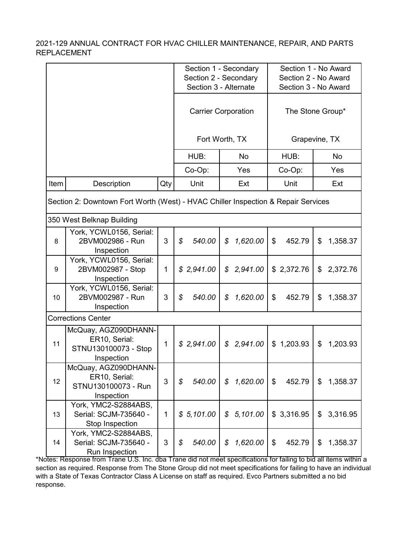|                                                                                                                |                                                                             |              |              | Section 1 - Secondary                  | Section 1 - No Award |                |  |  |
|----------------------------------------------------------------------------------------------------------------|-----------------------------------------------------------------------------|--------------|--------------|----------------------------------------|----------------------|----------------|--|--|
|                                                                                                                |                                                                             |              |              | Section 2 - Secondary                  | Section 2 - No Award |                |  |  |
|                                                                                                                |                                                                             |              |              | Section 3 - Alternate                  | Section 3 - No Award |                |  |  |
|                                                                                                                |                                                                             |              |              | <b>Carrier Corporation</b>             | The Stone Group*     |                |  |  |
|                                                                                                                |                                                                             |              |              | Fort Worth, TX                         |                      | Grapevine, TX  |  |  |
|                                                                                                                |                                                                             |              | HUB:         | <b>No</b>                              | HUB:                 | <b>No</b>      |  |  |
|                                                                                                                |                                                                             |              | Co-Op:       | Yes                                    | Co-Op:               | Yes            |  |  |
| Item                                                                                                           | Description                                                                 | Qty          | Unit         | Ext                                    | Unit                 | Ext            |  |  |
| Section 2: Downtown Fort Worth (West) - HVAC Chiller Inspection & Repair Services<br>350 West Belknap Building |                                                                             |              |              |                                        |                      |                |  |  |
| 8                                                                                                              | York, YCWL0156, Serial:<br>2BVM002986 - Run<br>Inspection                   | 3            | \$<br>540.00 | \$<br>1,620.00                         | \$<br>452.79         | \$<br>1,358.37 |  |  |
| 9                                                                                                              | York, YCWL0156, Serial:<br>2BVM002987 - Stop<br>Inspection                  | $\mathbf{1}$ | \$2,941.00   | 2,941.00<br>\$                         | \$2,372.76           | 2,372.76<br>\$ |  |  |
| 10                                                                                                             | York, YCWL0156, Serial:<br>2BVM002987 - Run<br>Inspection                   | 3            | \$<br>540.00 | 1,620.00<br>\$                         | \$<br>452.79         | \$<br>1,358.37 |  |  |
|                                                                                                                | <b>Corrections Center</b>                                                   |              |              |                                        |                      |                |  |  |
| 11                                                                                                             | McQuay, AGZ090DHANN-<br>ER10, Serial:<br>STNU130100073 - Stop<br>Inspection | $\mathbf{1}$ | \$2,941.00   | $\mathcal{S}$<br>2,941.00              | \$1,203.93           | \$<br>1,203.93 |  |  |
| 12                                                                                                             | McQuay, AGZ090DHANN-<br>ER10, Serial:<br>STNU130100073 - Run<br>Inspection  | 3            | 540.00<br>\$ | 1,620.00<br>$\boldsymbol{\mathcal{S}}$ | \$<br>452.79         | \$<br>1,358.37 |  |  |
| 13                                                                                                             | York, YMC2-S2884ABS,<br>Serial: SCJM-735640 -<br>Stop Inspection            | $\mathbf{1}$ | \$5,101.00   | 5,101.00<br>\$                         | \$3,316.95           | \$<br>3,316.95 |  |  |
| 14                                                                                                             | York, YMC2-S2884ABS,<br>Serial: SCJM-735640 -<br>Run Inspection             | 3            | \$<br>540.00 | 1,620.00<br>\$                         | \$<br>452.79         | \$<br>1,358.37 |  |  |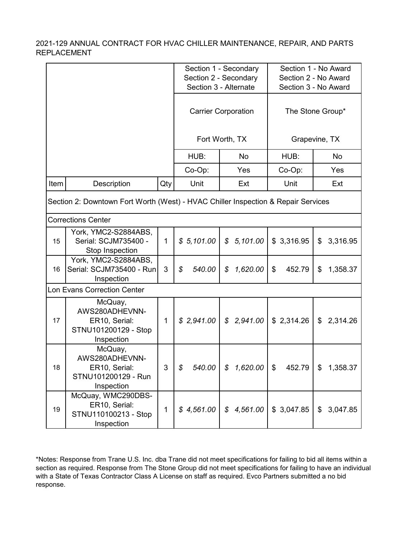|      |                                                                                   |              |              | Section 1 - Secondary                  | Section 1 - No Award |                      |  |  |  |
|------|-----------------------------------------------------------------------------------|--------------|--------------|----------------------------------------|----------------------|----------------------|--|--|--|
|      |                                                                                   |              |              | Section 2 - Secondary                  | Section 2 - No Award |                      |  |  |  |
|      |                                                                                   |              |              | Section 3 - Alternate                  |                      | Section 3 - No Award |  |  |  |
|      |                                                                                   |              |              | <b>Carrier Corporation</b>             | The Stone Group*     |                      |  |  |  |
|      |                                                                                   |              |              | Fort Worth, TX                         |                      | Grapevine, TX        |  |  |  |
|      |                                                                                   |              | HUB:         | <b>No</b>                              | HUB:                 | No                   |  |  |  |
|      |                                                                                   |              | Co-Op:       | Yes                                    | Co-Op:               | Yes                  |  |  |  |
| Item | Description                                                                       | Qty          | Unit         | Ext                                    | Unit                 | Ext                  |  |  |  |
|      | Section 2: Downtown Fort Worth (West) - HVAC Chiller Inspection & Repair Services |              |              |                                        |                      |                      |  |  |  |
|      | <b>Corrections Center</b>                                                         |              |              |                                        |                      |                      |  |  |  |
| 15   | York, YMC2-S2884ABS,<br>Serial: SCJM735400 -<br>Stop Inspection                   | 1            | \$5,101.00   | 5,101.00<br>$\boldsymbol{\mathcal{S}}$ | \$3,316.95           | \$<br>3,316.95       |  |  |  |
| 16   | York, YMC2-S2884ABS,<br>Serial: SCJM735400 - Run<br>Inspection                    | 3            | 540.00<br>\$ | 1,620.00<br>\$                         | 452.79<br>\$         | 1,358.37<br>\$       |  |  |  |
|      | <b>Lon Evans Correction Center</b>                                                |              |              |                                        |                      |                      |  |  |  |
| 17   | McQuay,<br>AWS280ADHEVNN-<br>ER10, Serial:<br>STNU101200129 - Stop<br>Inspection  | 1            | \$2,941.00   | 2,941.00<br>$\mathcal{S}$              | \$2,314.26           | 2,314.26<br>\$       |  |  |  |
| 18   | McQuay,<br>AWS280ADHEVNN-<br>ER10, Serial:<br>STNU101200129 - Run<br>Inspection   | 3            | 540.00<br>\$ | \$1,620.00                             | 452.79<br>$\sqrt{3}$ | \$1,358.37           |  |  |  |
| 19   | McQuay, WMC290DBS-<br>ER10, Serial:<br>STNU110100213 - Stop<br>Inspection         | $\mathbf{1}$ | \$4,561.00   | \$4,561.00                             | \$3,047.85           | \$3,047.85           |  |  |  |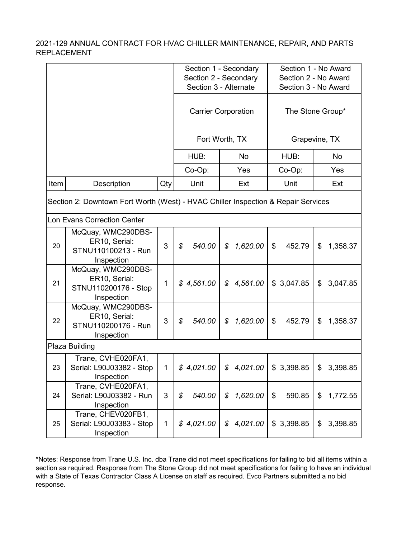|      |                                                                                   |             |                         | Section 1 - Secondary                  | Section 1 - No Award |                      |  |  |  |
|------|-----------------------------------------------------------------------------------|-------------|-------------------------|----------------------------------------|----------------------|----------------------|--|--|--|
|      |                                                                                   |             |                         | Section 2 - Secondary                  | Section 2 - No Award |                      |  |  |  |
|      |                                                                                   |             |                         | Section 3 - Alternate                  |                      | Section 3 - No Award |  |  |  |
|      |                                                                                   |             |                         | <b>Carrier Corporation</b>             |                      | The Stone Group*     |  |  |  |
|      |                                                                                   |             |                         | Fort Worth, TX                         |                      | Grapevine, TX        |  |  |  |
|      |                                                                                   |             | HUB:                    | <b>No</b>                              | HUB:                 | No                   |  |  |  |
|      |                                                                                   |             | Co-Op:                  | Yes                                    | Co-Op:               | Yes                  |  |  |  |
| Item | Description                                                                       | Qty         | Unit                    | Ext                                    | Unit                 | Ext                  |  |  |  |
|      | Section 2: Downtown Fort Worth (West) - HVAC Chiller Inspection & Repair Services |             |                         |                                        |                      |                      |  |  |  |
|      | <b>Lon Evans Correction Center</b>                                                |             |                         |                                        |                      |                      |  |  |  |
| 20   | McQuay, WMC290DBS-<br>ER10, Serial:<br>STNU110100213 - Run<br>Inspection          | 3           | $\mathcal{L}$<br>540.00 | $\boldsymbol{\mathcal{S}}$<br>1,620.00 | \$<br>452.79         | \$<br>1,358.37       |  |  |  |
| 21   | McQuay, WMC290DBS-<br>ER10, Serial:<br>STNU110200176 - Stop<br>Inspection         | 1           | \$4,561.00              | 4,561.00<br>$\mathcal{L}$              | \$3,047.85           | 3,047.85<br>\$       |  |  |  |
| 22   | McQuay, WMC290DBS-<br>ER10, Serial:<br>STNU110200176 - Run<br>Inspection          | 3           | \$<br>540.00            | 1,620.00<br>\$                         | \$<br>452.79         | \$<br>1,358.37       |  |  |  |
|      | Plaza Building                                                                    |             |                         |                                        |                      |                      |  |  |  |
| 23   | Trane, CVHE020FA1,<br>Serial: L90J03382 - Stop<br>Inspection                      | $\mathbf 1$ | \$4,021.00              | \$4,021.00                             | \$3,398.85           | \$<br>3,398.85       |  |  |  |
| 24   | Trane, CVHE020FA1,<br>Serial: L90J03382 - Run<br>Inspection                       | 3           | 540.00<br>\$            | 1,620.00<br>\$                         | \$<br>590.85         | 1,772.55<br>\$       |  |  |  |
| 25   | Trane, CHEV020FB1,<br>Serial: L90J03383 - Stop<br>Inspection                      | 1           | \$4,021.00              | 4,021.00<br>\$                         | \$3,398.85           | 3,398.85<br>\$       |  |  |  |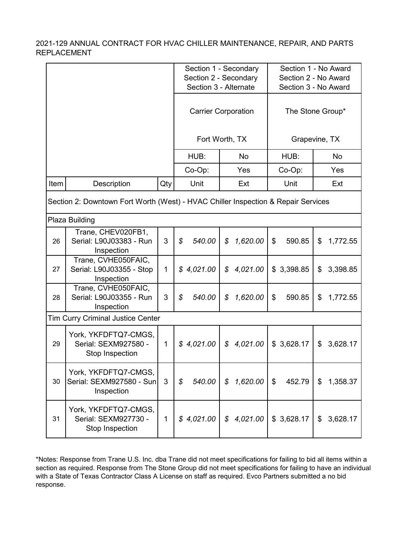|                                                                                   |                                                                 |              |                            | Section 1 - Secondary                  | Section 1 - No Award |                      |  |  |
|-----------------------------------------------------------------------------------|-----------------------------------------------------------------|--------------|----------------------------|----------------------------------------|----------------------|----------------------|--|--|
|                                                                                   |                                                                 |              |                            | Section 2 - Secondary                  | Section 2 - No Award |                      |  |  |
|                                                                                   |                                                                 |              |                            | Section 3 - Alternate                  |                      | Section 3 - No Award |  |  |
|                                                                                   |                                                                 |              | <b>Carrier Corporation</b> |                                        |                      | The Stone Group*     |  |  |
|                                                                                   |                                                                 |              |                            | Fort Worth, TX                         |                      | Grapevine, TX        |  |  |
|                                                                                   |                                                                 |              | HUB:                       | No                                     | HUB:                 | No                   |  |  |
|                                                                                   |                                                                 |              | Co-Op:                     | Yes                                    | Co-Op:               | Yes                  |  |  |
| Item                                                                              | Description                                                     | Qty          | Unit                       | Ext                                    | Unit                 | Ext                  |  |  |
| Section 2: Downtown Fort Worth (West) - HVAC Chiller Inspection & Repair Services |                                                                 |              |                            |                                        |                      |                      |  |  |
|                                                                                   | Plaza Building                                                  |              |                            |                                        |                      |                      |  |  |
| 26                                                                                | Trane, CHEV020FB1,<br>Serial: L90J03383 - Run<br>Inspection     | 3            | \$<br>540.00               | \$<br>1,620.00                         | \$<br>590.85         | \$<br>1,772.55       |  |  |
| 27                                                                                | Trane, CVHE050FAIC,<br>Serial: L90J03355 - Stop<br>Inspection   | $\mathbf{1}$ | \$4,021.00                 | 4,021.00<br>\$                         | \$3,398.85           | 3,398.85<br>\$       |  |  |
| 28                                                                                | Trane, CVHE050FAIC,<br>Serial: L90J03355 - Run<br>Inspection    | 3            | $\mathcal{S}$<br>540.00    | \$<br>1,620.00                         | 590.85<br>\$         | \$<br>1,772.55       |  |  |
|                                                                                   | <b>Tim Curry Criminal Justice Center</b>                        |              |                            |                                        |                      |                      |  |  |
| 29                                                                                | York, YKFDFTQ7-CMGS,<br>Serial: SEXM927580 -<br>Stop Inspection | $\mathbf{1}$ | \$4,021.00                 | \$<br>4,021.00                         | \$3,628.17           | \$<br>3,628.17       |  |  |
| 30                                                                                | York, YKFDFTQ7-CMGS,<br>Serial: SEXM927580 - Sun<br>Inspection  | 3            | 540.00<br>\$               | 1,620.00<br>$\boldsymbol{\mathcal{S}}$ | 452.79<br>\$         | \$<br>1,358.37       |  |  |
| 31                                                                                | York, YKFDFTQ7-CMGS,<br>Serial: SEXM927730 -<br>Stop Inspection | $\mathbf{1}$ | \$4,021.00                 | 4,021.00<br>$\mathcal{S}$              | \$3,628.17           | \$<br>3,628.17       |  |  |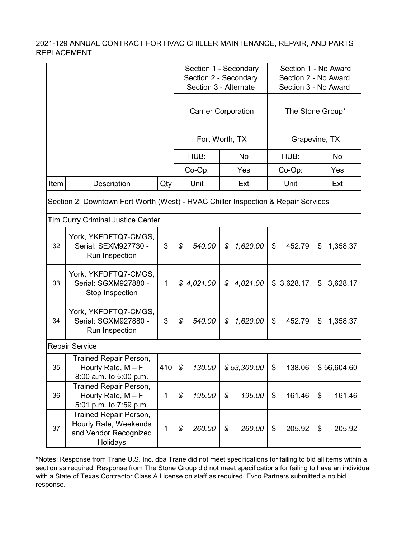|      |                                                                                      |         |                       | Section 1 - Secondary      |                            | Section 1 - No Award |                      |                      |    |             |  |
|------|--------------------------------------------------------------------------------------|---------|-----------------------|----------------------------|----------------------------|----------------------|----------------------|----------------------|----|-------------|--|
|      |                                                                                      |         | Section 2 - Secondary |                            |                            |                      |                      | Section 2 - No Award |    |             |  |
|      |                                                                                      |         | Section 3 - Alternate |                            |                            |                      | Section 3 - No Award |                      |    |             |  |
|      |                                                                                      |         |                       | <b>Carrier Corporation</b> |                            |                      |                      | The Stone Group*     |    |             |  |
|      |                                                                                      |         |                       | Fort Worth, TX             |                            |                      |                      | Grapevine, TX        |    |             |  |
|      |                                                                                      |         |                       | HUB:                       |                            | <b>No</b>            |                      | HUB:                 |    | <b>No</b>   |  |
|      |                                                                                      |         |                       | Co-Op:                     |                            | Yes                  |                      | Co-Op:               |    | Yes         |  |
| Item | Description                                                                          | Qty     |                       | Unit                       |                            | Ext                  |                      | Unit                 |    | Ext         |  |
|      | Section 2: Downtown Fort Worth (West) - HVAC Chiller Inspection & Repair Services    |         |                       |                            |                            |                      |                      |                      |    |             |  |
|      | <b>Tim Curry Criminal Justice Center</b>                                             |         |                       |                            |                            |                      |                      |                      |    |             |  |
| 32   | York, YKFDFTQ7-CMGS,<br>Serial: SEXM927730 -<br>Run Inspection                       | 3       | \$                    | 540.00                     | \$                         | 1,620.00             | \$                   | 452.79               | \$ | 1,358.37    |  |
| 33   | York, YKFDFTQ7-CMGS,<br>Serial: SGXM927880 -<br>Stop Inspection                      | 1       |                       | \$4,021.00                 | $\boldsymbol{\mathcal{S}}$ | 4,021.00             |                      | \$3,628.17           | \$ | 3,628.17    |  |
| 34   | York, YKFDFTQ7-CMGS,<br>Serial: SGXM927880 -<br>Run Inspection                       | 3       | \$                    | 540.00                     | \$                         | 1,620.00             | \$                   | 452.79               | \$ | 1,358.37    |  |
|      | <b>Repair Service</b>                                                                |         |                       |                            |                            |                      |                      |                      |    |             |  |
| 35   | Trained Repair Person,<br>Hourly Rate, $M - F$<br>8:00 a.m. to 5:00 p.m.             | 410 $$$ |                       | 130.00                     |                            | \$53,300.00          | \$                   | 138.06               |    | \$56,604.60 |  |
| 36   | <b>Trained Repair Person,</b><br>Hourly Rate, $M - F$<br>5:01 p.m. to 7:59 p.m.      | 1       | \$                    | 195.00                     | \$                         | 195.00               | \$                   | 161.46               | \$ | 161.46      |  |
| 37   | Trained Repair Person,<br>Hourly Rate, Weekends<br>and Vendor Recognized<br>Holidays | 1       | \$                    | 260.00                     | \$                         | 260.00               | \$                   | 205.92               | \$ | 205.92      |  |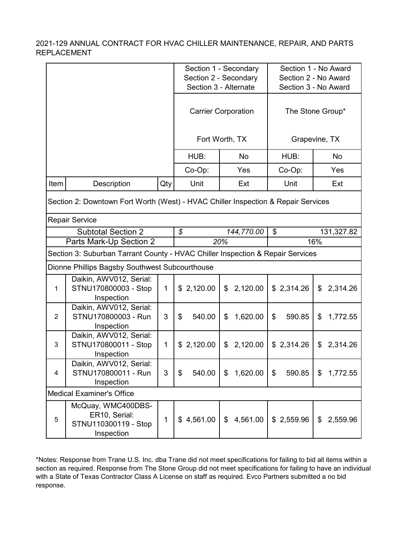|                |                                                                                   |              |              | Section 1 - Secondary      | Section 1 - No Award |                      |  |  |  |  |  |
|----------------|-----------------------------------------------------------------------------------|--------------|--------------|----------------------------|----------------------|----------------------|--|--|--|--|--|
|                |                                                                                   |              |              | Section 2 - Secondary      |                      | Section 2 - No Award |  |  |  |  |  |
|                |                                                                                   |              |              | Section 3 - Alternate      | Section 3 - No Award |                      |  |  |  |  |  |
|                |                                                                                   |              |              | <b>Carrier Corporation</b> | The Stone Group*     |                      |  |  |  |  |  |
|                |                                                                                   |              |              | Fort Worth, TX             |                      | Grapevine, TX        |  |  |  |  |  |
|                |                                                                                   |              | HUB:         | No                         | HUB:                 | No                   |  |  |  |  |  |
|                |                                                                                   |              | Co-Op:       | Yes                        | Co-Op:               | Yes                  |  |  |  |  |  |
| Item           | Description                                                                       | Qty          | Unit         | Ext                        | Unit                 | Ext                  |  |  |  |  |  |
|                | Section 2: Downtown Fort Worth (West) - HVAC Chiller Inspection & Repair Services |              |              |                            |                      |                      |  |  |  |  |  |
|                | <b>Repair Service</b>                                                             |              |              |                            |                      |                      |  |  |  |  |  |
|                | <b>Subtotal Section 2</b>                                                         |              | \$           | 144,770.00                 | \$                   | 131,327.82           |  |  |  |  |  |
|                | Parts Mark-Up Section 2                                                           |              |              | 20%                        |                      | 16%                  |  |  |  |  |  |
|                | Section 3: Suburban Tarrant County - HVAC Chiller Inspection & Repair Services    |              |              |                            |                      |                      |  |  |  |  |  |
|                | Dionne Phillips Bagsby Southwest Subcourthouse                                    |              |              |                            |                      |                      |  |  |  |  |  |
| 1              | Daikin, AWV012, Serial:<br>STNU170800003 - Stop<br>Inspection                     | $\mathbf{1}$ | \$2,120.00   | 2,120.00<br>\$             | \$2,314.26           | 2,314.26<br>\$       |  |  |  |  |  |
| 2              | Daikin, AWV012, Serial:<br>STNU170800003 - Run<br>Inspection                      | 3            | \$<br>540.00 | 1,620.00<br>\$             | \$<br>590.85         | \$<br>1,772.55       |  |  |  |  |  |
| 3              | Daikin, AWV012, Serial:<br>STNU170800011 - Stop<br>Inspection                     | 1            | \$2,120.00   | 2,120.00<br>\$             | \$2,314.26           | 2,314.26<br>\$       |  |  |  |  |  |
| $\overline{4}$ | Daikin, AWV012, Serial:<br>STNU170800011 - Run<br>Inspection                      | 3            | \$<br>540.00 | \$<br>1,620.00             | \$<br>590.85         | \$<br>1,772.55       |  |  |  |  |  |
|                | <b>Medical Examiner's Office</b>                                                  |              |              |                            |                      |                      |  |  |  |  |  |
| 5              | McQuay, WMC400DBS-<br>ER10, Serial:<br>STNU110300119 - Stop<br>Inspection         | 1            | \$4,561.00   | 4,561.00<br>$\mathfrak{S}$ | \$2,559.96           | \$<br>2,559.96       |  |  |  |  |  |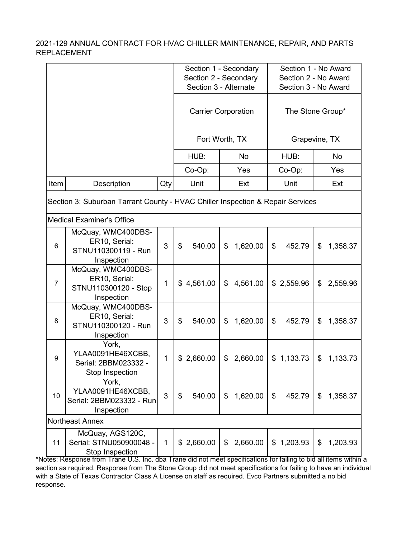|                |                                                                                |     |              | Section 1 - Secondary                                                 | Section 1 - No Award                |                |  |  |
|----------------|--------------------------------------------------------------------------------|-----|--------------|-----------------------------------------------------------------------|-------------------------------------|----------------|--|--|
|                |                                                                                |     |              | Section 2 - Secondary                                                 | Section 2 - No Award                |                |  |  |
|                |                                                                                |     |              | Section 3 - Alternate                                                 | Section 3 - No Award                |                |  |  |
|                |                                                                                |     |              | <b>Carrier Corporation</b>                                            | The Stone Group*                    |                |  |  |
|                |                                                                                |     |              | Fort Worth, TX                                                        |                                     | Grapevine, TX  |  |  |
|                |                                                                                |     | HUB:         | <b>No</b>                                                             | HUB:                                | No             |  |  |
|                |                                                                                |     | Co-Op:       | Yes                                                                   | Co-Op:                              | Yes            |  |  |
| Item           | Description                                                                    | Qty | Unit         | Ext                                                                   | Unit                                | Ext            |  |  |
|                | Section 3: Suburban Tarrant County - HVAC Chiller Inspection & Repair Services |     |              |                                                                       |                                     |                |  |  |
|                | <b>Medical Examiner's Office</b>                                               |     |              |                                                                       |                                     |                |  |  |
| 6              | McQuay, WMC400DBS-<br>ER10, Serial:<br>STNU110300119 - Run<br>Inspection       | 3   | \$<br>540.00 | 1,620.00<br>\$                                                        | \$<br>452.79                        | \$<br>1,358.37 |  |  |
| $\overline{7}$ | McQuay, WMC400DBS-<br>ER10, Serial:<br>STNU110300120 - Stop<br>Inspection      | 1   | \$4,561.00   | 4,561.00<br>$\boldsymbol{\mathsf{S}}$                                 | \$2,559.96                          | \$<br>2,559.96 |  |  |
| 8              | McQuay, WMC400DBS-<br>ER10, Serial:<br>STNU110300120 - Run<br>Inspection       | 3   | \$<br>540.00 | 1,620.00<br>\$                                                        | \$<br>452.79                        | 1,358.37<br>\$ |  |  |
| 9              | York,<br>YLAA0091HE46XCBB,<br>Serial: 2BBM023332 -<br>Stop Inspection          | 1   | \$2,660.00   | 2,660.00<br>\$                                                        | \$1,133.73                          | \$<br>1,133.73 |  |  |
| 10             | York,<br>YLAA0091HE46XCBB,<br>Serial: 2BBM023332 - Run<br>Inspection           | 3   | \$<br>540.00 | $\mathfrak{L}$<br>1,620.00                                            | $\boldsymbol{\mathsf{S}}$<br>452.79 | \$<br>1,358.37 |  |  |
|                | <b>Northeast Annex</b>                                                         |     |              |                                                                       |                                     |                |  |  |
| 11             | McQuay, AGS120C,<br>Serial: STNU050900048 -<br>Stop Inspection                 | 1   | \$2,660.00   | \$2,660.00                                                            | \$1,203.93                          | \$<br>1,203.93 |  |  |
|                |                                                                                |     |              | Trano did not moot spocifications for failing to bid all itoms within |                                     |                |  |  |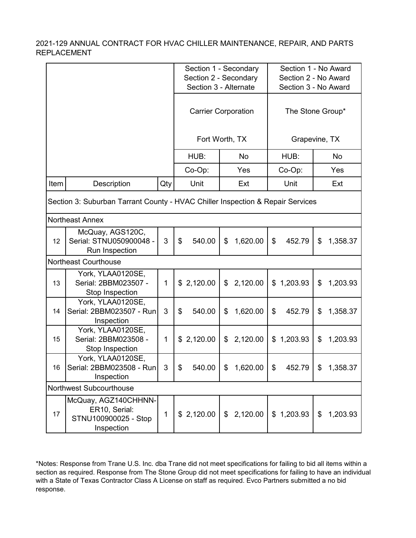|      |                                                                                |     |                            | Section 1 - Secondary<br>Section 2 - Secondary |                |           | Section 1 - No Award<br>Section 2 - No Award |                      |               |          |
|------|--------------------------------------------------------------------------------|-----|----------------------------|------------------------------------------------|----------------|-----------|----------------------------------------------|----------------------|---------------|----------|
|      |                                                                                |     |                            | Section 3 - Alternate                          |                |           |                                              | Section 3 - No Award |               |          |
|      |                                                                                |     | <b>Carrier Corporation</b> |                                                |                |           | The Stone Group*                             |                      |               |          |
|      |                                                                                |     |                            | Fort Worth, TX                                 |                |           |                                              |                      | Grapevine, TX |          |
|      |                                                                                |     |                            | HUB:                                           |                | <b>No</b> |                                              | HUB:                 |               | No       |
|      |                                                                                |     |                            | Co-Op:                                         |                | Yes       |                                              | Co-Op:               |               | Yes      |
| Item | Description                                                                    | Qty |                            | Unit                                           |                | Ext       |                                              | Unit                 |               | Ext      |
|      | Section 3: Suburban Tarrant County - HVAC Chiller Inspection & Repair Services |     |                            |                                                |                |           |                                              |                      |               |          |
|      | <b>Northeast Annex</b>                                                         |     |                            |                                                |                |           |                                              |                      |               |          |
| 12   | McQuay, AGS120C,<br>Serial: STNU050900048 -<br>Run Inspection                  | 3   | \$                         | 540.00                                         | \$             | 1,620.00  | \$                                           | 452.79               | \$            | 1,358.37 |
|      | <b>Northeast Courthouse</b>                                                    |     |                            |                                                |                |           |                                              |                      |               |          |
| 13   | York, YLAA0120SE,<br>Serial: 2BBM023507 -<br>Stop Inspection                   | 1   |                            | \$2,120.00                                     | \$             | 2,120.00  | \$                                           | 1,203.93             | \$            | 1,203.93 |
| 14   | York, YLAA0120SE,<br>Serial: 2BBM023507 - Run<br>Inspection                    | 3   | \$                         | 540.00                                         | \$             | 1,620.00  | \$                                           | 452.79               | \$            | 1,358.37 |
| 15   | York, YLAA0120SE,<br>Serial: 2BBM023508 -<br>Stop Inspection                   | 1   |                            | \$2,120.00                                     | \$             | 2,120.00  |                                              | \$1,203.93           | \$            | 1,203.93 |
| 16   | York, YLAA0120SE,<br>Serial: 2BBM023508 - Run<br>Inspection                    | 3   | \$                         | 540.00                                         | \$             | 1,620.00  | $\frac{1}{2}$                                | 452.79               | \$            | 1,358.37 |
|      | Northwest Subcourthouse                                                        |     |                            |                                                |                |           |                                              |                      |               |          |
| 17   | McQuay, AGZ140CHHNN-<br>ER10, Serial:<br>STNU100900025 - Stop<br>Inspection    | 1   |                            | \$2,120.00                                     | $\mathbb{S}^-$ | 2,120.00  |                                              | \$1,203.93           | \$            | 1,203.93 |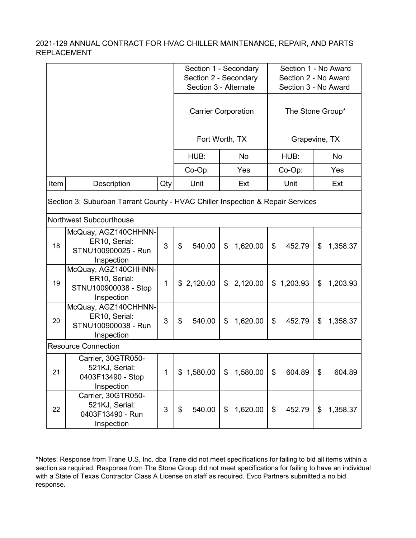|                                                                                |                                                                             |     |              | Section 1 - Secondary      | Section 1 - No Award |                      |  |  |
|--------------------------------------------------------------------------------|-----------------------------------------------------------------------------|-----|--------------|----------------------------|----------------------|----------------------|--|--|
|                                                                                |                                                                             |     |              | Section 2 - Secondary      |                      | Section 2 - No Award |  |  |
|                                                                                |                                                                             |     |              | Section 3 - Alternate      | Section 3 - No Award |                      |  |  |
|                                                                                |                                                                             |     |              | <b>Carrier Corporation</b> | The Stone Group*     |                      |  |  |
|                                                                                |                                                                             |     |              | Fort Worth, TX             |                      | Grapevine, TX        |  |  |
|                                                                                |                                                                             |     | HUB:         | <b>No</b>                  | HUB:                 | No                   |  |  |
|                                                                                |                                                                             |     | Co-Op:       | Yes                        | Co-Op:               | Yes                  |  |  |
| Item                                                                           | Description                                                                 | Qty | Unit         | Ext                        | Unit                 | Ext                  |  |  |
| Section 3: Suburban Tarrant County - HVAC Chiller Inspection & Repair Services |                                                                             |     |              |                            |                      |                      |  |  |
|                                                                                | <b>Northwest Subcourthouse</b>                                              |     |              |                            |                      |                      |  |  |
| 18                                                                             | McQuay, AGZ140CHHNN-<br>ER10, Serial:<br>STNU100900025 - Run<br>Inspection  | 3   | \$<br>540.00 | 1,620.00<br>\$             | \$<br>452.79         | 1,358.37<br>\$       |  |  |
| 19                                                                             | McQuay, AGZ140CHHNN-<br>ER10, Serial:<br>STNU100900038 - Stop<br>Inspection | 1   | \$2,120.00   | 2,120.00<br>\$             | \$1,203.93           | 1,203.93<br>\$       |  |  |
| 20                                                                             | McQuay, AGZ140CHHNN-<br>ER10, Serial:<br>STNU100900038 - Run<br>Inspection  | 3   | \$<br>540.00 | 1,620.00<br>\$             | \$<br>452.79         | \$<br>1,358.37       |  |  |
|                                                                                | <b>Resource Connection</b>                                                  |     |              |                            |                      |                      |  |  |
| 21                                                                             | Carrier, 30GTR050-<br>521KJ, Serial:<br>0403F13490 - Stop<br>Inspection     | 1   | \$1,580.00   | \$<br>1,580.00             | \$<br>604.89         | \$<br>604.89         |  |  |
| 22                                                                             | Carrier, 30GTR050-<br>521KJ, Serial:<br>0403F13490 - Run<br>Inspection      | 3   | 540.00<br>\$ | 1,620.00<br>\$             | 452.79<br>\$         | 1,358.37<br>\$       |  |  |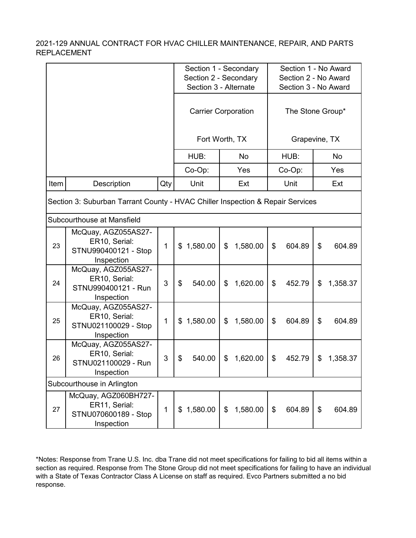|      |                                                                                |     |                | Section 1 - Secondary<br>Section 2 - Secondary | Section 1 - No Award<br>Section 2 - No Award |                |  |  |
|------|--------------------------------------------------------------------------------|-----|----------------|------------------------------------------------|----------------------------------------------|----------------|--|--|
|      |                                                                                |     |                | Section 3 - Alternate                          | Section 3 - No Award                         |                |  |  |
|      |                                                                                |     |                | <b>Carrier Corporation</b>                     | The Stone Group*                             |                |  |  |
|      |                                                                                |     | Fort Worth, TX |                                                | Grapevine, TX                                |                |  |  |
|      |                                                                                |     | HUB:           | <b>No</b>                                      | HUB:                                         | No             |  |  |
|      |                                                                                |     | Co-Op:         | Yes                                            | Co-Op:                                       | Yes            |  |  |
| Item | Description                                                                    | Qty | Unit           | Ext                                            | Unit                                         | Ext            |  |  |
|      | Section 3: Suburban Tarrant County - HVAC Chiller Inspection & Repair Services |     |                |                                                |                                              |                |  |  |
|      | Subcourthouse at Mansfield                                                     |     |                |                                                |                                              |                |  |  |
| 23   | McQuay, AGZ055AS27-<br>ER10, Serial:<br>STNU990400121 - Stop<br>Inspection     | 1   | 1,580.00<br>\$ | 1,580.00<br>\$                                 | \$<br>604.89                                 | \$<br>604.89   |  |  |
| 24   | McQuay, AGZ055AS27-<br>ER10, Serial:<br>STNU990400121 - Run<br>Inspection      | 3   | \$<br>540.00   | 1,620.00<br>\$                                 | \$<br>452.79                                 | \$<br>1,358.37 |  |  |
| 25   | McQuay, AGZ055AS27-<br>ER10, Serial:<br>STNU021100029 - Stop<br>Inspection     | 1   | 1,580.00<br>\$ | 1,580.00<br>\$                                 | \$<br>604.89                                 | \$<br>604.89   |  |  |
| 26   | McQuay, AGZ055AS27-<br>ER10, Serial:<br>STNU021100029 - Run<br>Inspection      | 3   | \$<br>540.00   | 1,620.00<br>\$                                 | \$<br>452.79                                 | \$<br>1,358.37 |  |  |
|      | Subcourthouse in Arlington                                                     |     |                |                                                |                                              |                |  |  |
| 27   | McQuay, AGZ060BH727-<br>ER11, Serial:<br>STNU070600189 - Stop<br>Inspection    | 1   | 1,580.00<br>\$ | 1,580.00<br>$\boldsymbol{\mathsf{S}}$          | \$<br>604.89                                 | \$<br>604.89   |  |  |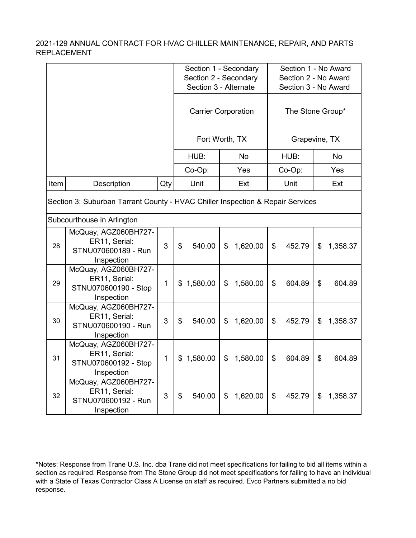|      |                                                                                |     |                | Section 1 - Secondary<br>Section 2 - Secondary<br>Section 3 - Alternate | Section 1 - No Award<br>Section 2 - No Award<br>Section 3 - No Award |                  |  |  |  |  |
|------|--------------------------------------------------------------------------------|-----|----------------|-------------------------------------------------------------------------|----------------------------------------------------------------------|------------------|--|--|--|--|
|      |                                                                                |     |                | <b>Carrier Corporation</b>                                              |                                                                      | The Stone Group* |  |  |  |  |
|      |                                                                                |     |                | Fort Worth, TX                                                          |                                                                      | Grapevine, TX    |  |  |  |  |
|      |                                                                                |     | HUB:           | <b>No</b>                                                               | HUB:                                                                 | <b>No</b>        |  |  |  |  |
|      |                                                                                |     | Co-Op:         | Yes                                                                     | Co-Op:                                                               | Yes              |  |  |  |  |
| Item | Description                                                                    | Qty | Unit           | Ext                                                                     | Unit                                                                 | Ext              |  |  |  |  |
|      | Section 3: Suburban Tarrant County - HVAC Chiller Inspection & Repair Services |     |                |                                                                         |                                                                      |                  |  |  |  |  |
|      | Subcourthouse in Arlington                                                     |     |                |                                                                         |                                                                      |                  |  |  |  |  |
| 28   | McQuay, AGZ060BH727-<br>ER11, Serial:<br>STNU070600189 - Run<br>Inspection     | 3   | \$<br>540.00   | 1,620.00<br>\$                                                          | \$<br>452.79                                                         | \$<br>1,358.37   |  |  |  |  |
| 29   | McQuay, AGZ060BH727-<br>ER11, Serial:<br>STNU070600190 - Stop<br>Inspection    | 1   | 1,580.00<br>\$ | 1,580.00<br>\$                                                          | \$<br>604.89                                                         | \$<br>604.89     |  |  |  |  |
| 30   | McQuay, AGZ060BH727-<br>ER11, Serial:<br>STNU070600190 - Run<br>Inspection     | 3   | \$<br>540.00   | 1,620.00<br>\$                                                          | \$<br>452.79                                                         | \$<br>1,358.37   |  |  |  |  |
| 31   | McQuay, AGZ060BH727-<br>ER11, Serial:<br>STNU070600192 - Stop<br>Inspection    | 1   | 1,580.00<br>\$ | 1,580.00<br>\$                                                          | \$<br>604.89                                                         | \$<br>604.89     |  |  |  |  |
| 32   | McQuay, AGZ060BH727-<br>ER11, Serial:<br>STNU070600192 - Run<br>Inspection     | 3   | \$<br>540.00   | 1,620.00<br>\$                                                          | \$<br>452.79                                                         | \$<br>1,358.37   |  |  |  |  |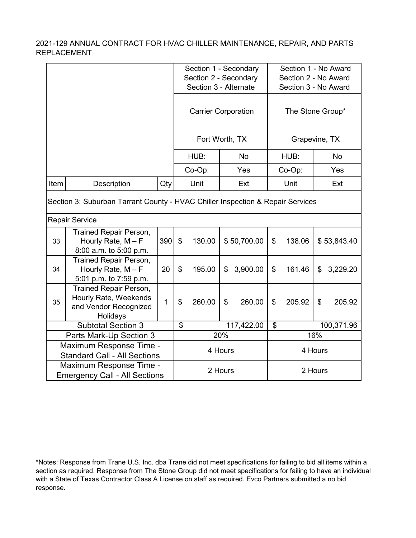|                                                                |                                                                                             |     |                            | Section 1 - Secondary<br>Section 2 - Secondary<br>Section 3 - Alternate |         |                  |         | Section 1 - No Award<br>Section 2 - No Award<br>Section 3 - No Award |     |             |  |
|----------------------------------------------------------------|---------------------------------------------------------------------------------------------|-----|----------------------------|-------------------------------------------------------------------------|---------|------------------|---------|----------------------------------------------------------------------|-----|-------------|--|
|                                                                |                                                                                             |     | <b>Carrier Corporation</b> |                                                                         |         | The Stone Group* |         |                                                                      |     |             |  |
|                                                                |                                                                                             |     | Fort Worth, TX             |                                                                         |         | Grapevine, TX    |         |                                                                      |     |             |  |
|                                                                |                                                                                             |     |                            | HUB:                                                                    |         | <b>No</b>        |         | HUB:                                                                 |     | <b>No</b>   |  |
|                                                                |                                                                                             |     |                            | Co-Op:                                                                  |         | Yes              |         | Co-Op:                                                               |     | Yes         |  |
| Item                                                           | Description                                                                                 | Qty |                            | Unit                                                                    |         | Ext              |         | Unit                                                                 |     | Ext         |  |
|                                                                | Section 3: Suburban Tarrant County - HVAC Chiller Inspection & Repair Services              |     |                            |                                                                         |         |                  |         |                                                                      |     |             |  |
|                                                                | <b>Repair Service</b>                                                                       |     |                            |                                                                         |         |                  |         |                                                                      |     |             |  |
| 33                                                             | <b>Trained Repair Person,</b><br>Hourly Rate, $M - F$<br>8:00 a.m. to 5:00 p.m.             | 390 | $\boldsymbol{\mathsf{\$}}$ | 130.00                                                                  |         | \$50,700.00      | \$      | 138.06                                                               |     | \$53,843.40 |  |
| 34                                                             | Trained Repair Person,<br>Hourly Rate, $M - F$<br>5:01 p.m. to 7:59 p.m.                    | 20  | \$                         | 195.00                                                                  | \$      | 3,900.00         | \$      | 161.46                                                               | \$  | 3,229.20    |  |
| 35                                                             | <b>Trained Repair Person,</b><br>Hourly Rate, Weekends<br>and Vendor Recognized<br>Holidays | 1   | \$                         | 260.00                                                                  | \$      | 260.00           | \$      | 205.92                                                               | \$  | 205.92      |  |
|                                                                | <b>Subtotal Section 3</b>                                                                   |     | $\mathfrak{S}$             |                                                                         |         | 117,422.00       | \$      |                                                                      |     | 100,371.96  |  |
|                                                                | Parts Mark-Up Section 3                                                                     |     |                            |                                                                         | 20%     |                  |         |                                                                      | 16% |             |  |
| Maximum Response Time -<br><b>Standard Call - All Sections</b> |                                                                                             |     |                            |                                                                         | 4 Hours |                  | 4 Hours |                                                                      |     |             |  |
|                                                                | Maximum Response Time -<br><b>Emergency Call - All Sections</b>                             |     |                            | 2 Hours                                                                 |         |                  | 2 Hours |                                                                      |     |             |  |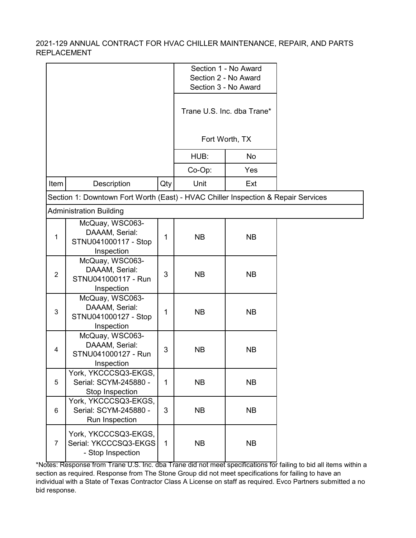|                |                                                                                   |              |           | Section 1 - No Award                         |  |
|----------------|-----------------------------------------------------------------------------------|--------------|-----------|----------------------------------------------|--|
|                |                                                                                   |              |           | Section 2 - No Award                         |  |
|                |                                                                                   |              |           | Section 3 - No Award                         |  |
|                |                                                                                   |              |           | Trane U.S. Inc. dba Trane*<br>Fort Worth, TX |  |
|                |                                                                                   |              |           |                                              |  |
|                |                                                                                   |              | HUB:      | No                                           |  |
|                |                                                                                   |              | Co-Op:    | Yes                                          |  |
| Item           | Description                                                                       | Qty          | Unit      | Ext                                          |  |
|                | Section 1: Downtown Fort Worth (East) - HVAC Chiller Inspection & Repair Services |              |           |                                              |  |
|                | <b>Administration Building</b>                                                    |              |           |                                              |  |
| 1              | McQuay, WSC063-<br>DAAAM, Serial:<br>STNU041000117 - Stop<br>Inspection           | 1            | <b>NB</b> | <b>NB</b>                                    |  |
| $\overline{2}$ | McQuay, WSC063-<br>DAAAM, Serial:<br>STNU041000117 - Run<br>Inspection            | 3            | <b>NB</b> | <b>NB</b>                                    |  |
| 3              | McQuay, WSC063-<br>DAAAM, Serial:<br>STNU041000127 - Stop<br>Inspection           | 1            | <b>NB</b> | <b>NB</b>                                    |  |
| 4              | McQuay, WSC063-<br>DAAAM, Serial:<br>STNU041000127 - Run<br>Inspection            | 3            | <b>NB</b> | <b>NB</b>                                    |  |
| 5              | York, YKCCCSQ3-EKGS,<br>Serial: SCYM-245880 -<br>Stop Inspection                  | $\mathbf{1}$ | <b>NB</b> | <b>NB</b>                                    |  |
| 6              | York, YKCCCSQ3-EKGS,<br>Serial: SCYM-245880 -<br>Run Inspection                   | 3            | <b>NB</b> | <b>NB</b>                                    |  |
| $\overline{7}$ | York, YKCCCSQ3-EKGS,<br>Serial: YKCCCSQ3-EKGS<br>- Stop Inspection                | $\mathbf{1}$ | <b>NB</b> | <b>NB</b>                                    |  |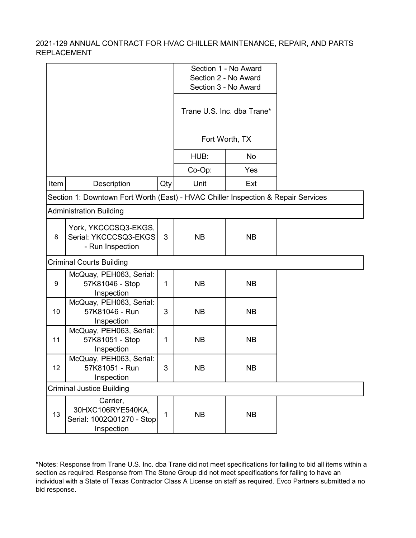|      |                                                                                   |     |           | Section 1 - No Award<br>Section 2 - No Award<br>Section 3 - No Award |  |
|------|-----------------------------------------------------------------------------------|-----|-----------|----------------------------------------------------------------------|--|
|      |                                                                                   |     |           | Trane U.S. Inc. dba Trane*                                           |  |
|      |                                                                                   |     |           | Fort Worth, TX                                                       |  |
|      |                                                                                   |     | HUB:      | No                                                                   |  |
|      |                                                                                   |     | Co-Op:    | Yes                                                                  |  |
| Item | Description                                                                       | Qty | Unit      | Ext                                                                  |  |
|      | Section 1: Downtown Fort Worth (East) - HVAC Chiller Inspection & Repair Services |     |           |                                                                      |  |
|      | <b>Administration Building</b>                                                    |     |           |                                                                      |  |
| 8    | York, YKCCCSQ3-EKGS,<br>Serial: YKCCCSQ3-EKGS<br>- Run Inspection                 | 3   | <b>NB</b> | <b>NB</b>                                                            |  |
|      | <b>Criminal Courts Building</b>                                                   |     |           |                                                                      |  |
| 9    | McQuay, PEH063, Serial:<br>57K81046 - Stop<br>Inspection                          | 1   | <b>NB</b> | <b>NB</b>                                                            |  |
| 10   | McQuay, PEH063, Serial:<br>57K81046 - Run<br>Inspection                           | 3   | <b>NB</b> | <b>NB</b>                                                            |  |
| 11   | McQuay, PEH063, Serial:<br>57K81051 - Stop<br>Inspection                          | 1   | <b>NB</b> | <b>NB</b>                                                            |  |
| 12   | McQuay, PEH063, Serial:<br>57K81051 - Run<br>Inspection                           | 3   | <b>NB</b> | <b>NB</b>                                                            |  |
|      | <b>Criminal Justice Building</b>                                                  |     |           |                                                                      |  |
| 13   | Carrier,<br>30HXC106RYE540KA,<br>Serial: 1002Q01270 - Stop<br>Inspection          | 1   | <b>NB</b> | <b>NB</b>                                                            |  |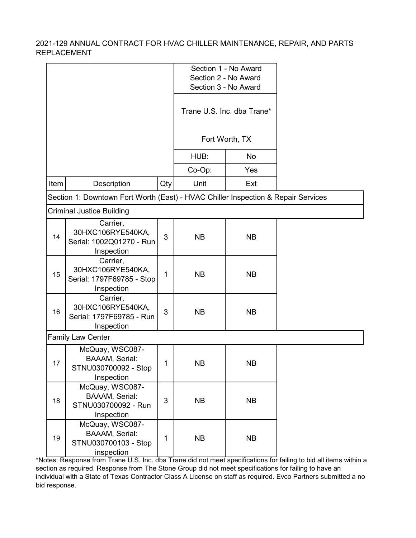|      |                                                                                   |     |           | Section 1 - No Award<br>Section 2 - No Award<br>Section 3 - No Award |  |
|------|-----------------------------------------------------------------------------------|-----|-----------|----------------------------------------------------------------------|--|
|      |                                                                                   |     |           | Trane U.S. Inc. dba Trane*                                           |  |
|      |                                                                                   |     |           | Fort Worth, TX                                                       |  |
|      |                                                                                   |     | HUB:      | No                                                                   |  |
|      |                                                                                   |     | Co-Op:    | Yes                                                                  |  |
| Item | Description                                                                       | Qty | Unit      | Ext                                                                  |  |
|      | Section 1: Downtown Fort Worth (East) - HVAC Chiller Inspection & Repair Services |     |           |                                                                      |  |
|      | <b>Criminal Justice Building</b>                                                  |     |           |                                                                      |  |
| 14   | Carrier,<br>30HXC106RYE540KA,<br>Serial: 1002Q01270 - Run<br>Inspection           | 3   | <b>NB</b> | <b>NB</b>                                                            |  |
| 15   | Carrier,<br>30HXC106RYE540KA,<br>Serial: 1797F69785 - Stop<br>Inspection          | 1   | <b>NB</b> | <b>NB</b>                                                            |  |
| 16   | Carrier,<br>30HXC106RYE540KA,<br>Serial: 1797F69785 - Run<br>Inspection           | 3   | <b>NB</b> | <b>NB</b>                                                            |  |
|      | <b>Family Law Center</b>                                                          |     |           |                                                                      |  |
| 17   | McQuay, WSC087-<br><b>BAAAM, Serial:</b><br>STNU030700092 - Stop<br>Inspection    | 1   | <b>NB</b> | <b>NB</b>                                                            |  |
| 18   | McQuay, WSC087-<br><b>BAAAM, Serial:</b><br>STNU030700092 - Run<br>Inspection     | 3   | <b>NB</b> | <b>NB</b>                                                            |  |
| 19   | McQuay, WSC087-<br><b>BAAAM, Serial:</b><br>STNU030700103 - Stop<br>inspection    | 1   | <b>NB</b> | <b>NB</b>                                                            |  |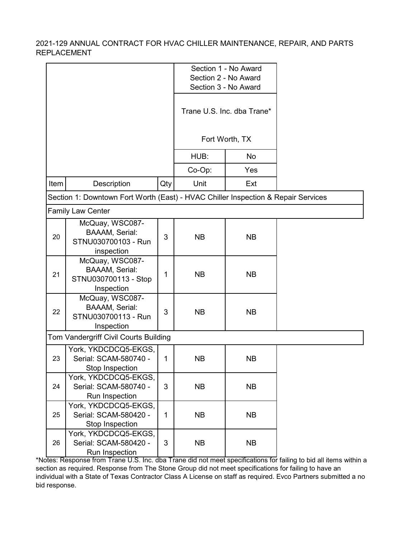|      |                                                                                   |              |           | Section 1 - No Award<br>Section 2 - No Award |  |
|------|-----------------------------------------------------------------------------------|--------------|-----------|----------------------------------------------|--|
|      |                                                                                   |              |           | Section 3 - No Award                         |  |
|      |                                                                                   |              |           | Trane U.S. Inc. dba Trane*                   |  |
|      |                                                                                   |              |           | Fort Worth, TX                               |  |
|      |                                                                                   |              | HUB:      | No                                           |  |
|      |                                                                                   |              | Co-Op:    | Yes                                          |  |
| Item | Description                                                                       | Qty          | Unit      | Ext                                          |  |
|      | Section 1: Downtown Fort Worth (East) - HVAC Chiller Inspection & Repair Services |              |           |                                              |  |
|      | <b>Family Law Center</b>                                                          |              |           |                                              |  |
| 20   | McQuay, WSC087-<br><b>BAAAM, Serial:</b><br>STNU030700103 - Run<br>inspection     | 3            | <b>NB</b> | <b>NB</b>                                    |  |
| 21   | McQuay, WSC087-<br><b>BAAAM, Serial:</b><br>STNU030700113 - Stop<br>Inspection    | 1            | <b>NB</b> | <b>NB</b>                                    |  |
| 22   | McQuay, WSC087-<br><b>BAAAM, Serial:</b><br>STNU030700113 - Run<br>Inspection     | 3            | <b>NB</b> | <b>NB</b>                                    |  |
|      | Tom Vandergriff Civil Courts Building                                             |              |           |                                              |  |
| 23   | York, YKDCDCQ5-EKGS,<br>Serial: SCAM-580740 -<br>Stop Inspection                  | 1            | <b>NB</b> | <b>NB</b>                                    |  |
| 24   | York, YKDCDCQ5-EKGS,<br>Serial: SCAM-580740 -<br>Run Inspection                   | 3            | <b>NB</b> | <b>NB</b>                                    |  |
| 25   | York, YKDCDCQ5-EKGS,<br>Serial: SCAM-580420 -<br>Stop Inspection                  | $\mathbf{1}$ | <b>NB</b> | <b>NB</b>                                    |  |
| 26   | York, YKDCDCQ5-EKGS,<br>Serial: SCAM-580420 -<br>Run Inspection                   | 3            | <b>NB</b> | <b>NB</b>                                    |  |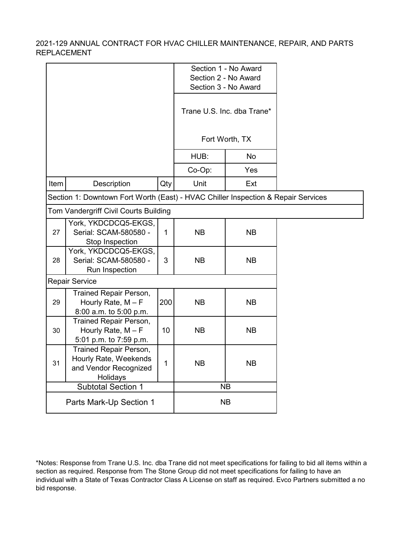|      |                                                                                      |     |           | Section 1 - No Award<br>Section 2 - No Award |  |
|------|--------------------------------------------------------------------------------------|-----|-----------|----------------------------------------------|--|
|      |                                                                                      |     |           | Section 3 - No Award                         |  |
|      |                                                                                      |     |           | Trane U.S. Inc. dba Trane*                   |  |
|      |                                                                                      |     |           | Fort Worth, TX                               |  |
|      |                                                                                      |     | HUB:      | No                                           |  |
|      |                                                                                      |     | Co-Op:    | Yes                                          |  |
| Item | Description                                                                          | Qty | Unit      | Ext                                          |  |
|      | Section 1: Downtown Fort Worth (East) - HVAC Chiller Inspection & Repair Services    |     |           |                                              |  |
|      | Tom Vandergriff Civil Courts Building                                                |     |           |                                              |  |
| 27   | York, YKDCDCQ5-EKGS,<br>Serial: SCAM-580580 -<br>Stop Inspection                     | 1   | <b>NB</b> | <b>NB</b>                                    |  |
| 28   | York, YKDCDCQ5-EKGS,<br>Serial: SCAM-580580 -<br>Run Inspection                      | 3   | <b>NB</b> | <b>NB</b>                                    |  |
|      | <b>Repair Service</b>                                                                |     |           |                                              |  |
| 29   | <b>Trained Repair Person,</b><br>Hourly Rate, $M - F$<br>8:00 a.m. to 5:00 p.m.      | 200 | <b>NB</b> | <b>NB</b>                                    |  |
| 30   | Trained Repair Person,<br>Hourly Rate, $M - F$<br>5:01 p.m. to 7:59 p.m.             | 10  | <b>NB</b> | <b>NB</b>                                    |  |
| 31   | Trained Repair Person,<br>Hourly Rate, Weekends<br>and Vendor Recognized<br>Holidays | 1   | <b>NB</b> | NB                                           |  |
|      | <b>Subtotal Section 1</b>                                                            |     |           | <b>NB</b>                                    |  |
|      | Parts Mark-Up Section 1                                                              |     |           | <b>NB</b>                                    |  |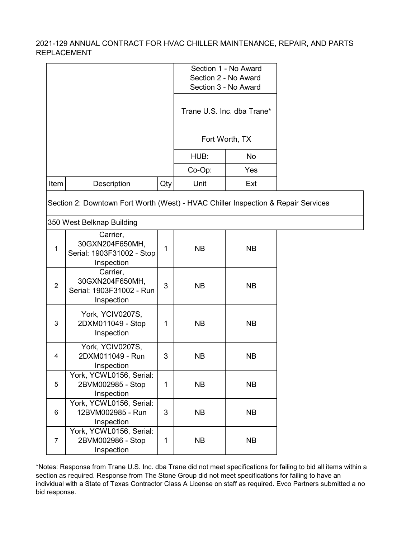|                         |                                                                                                                |              | Section 2 - No Award<br>Section 3 - No Award | Section 1 - No Award       |  |
|-------------------------|----------------------------------------------------------------------------------------------------------------|--------------|----------------------------------------------|----------------------------|--|
|                         |                                                                                                                |              |                                              | Trane U.S. Inc. dba Trane* |  |
|                         |                                                                                                                |              |                                              | Fort Worth, TX             |  |
|                         |                                                                                                                |              | HUB:                                         | No                         |  |
|                         |                                                                                                                |              | Co-Op:                                       | Yes                        |  |
| Item                    | Description                                                                                                    | Qty          | Unit                                         | Ext                        |  |
|                         | Section 2: Downtown Fort Worth (West) - HVAC Chiller Inspection & Repair Services<br>350 West Belknap Building |              |                                              |                            |  |
| 1                       | Carrier,<br>30GXN204F650MH,<br>Serial: 1903F31002 - Stop<br>Inspection                                         | $\mathbf{1}$ | <b>NB</b>                                    | <b>NB</b>                  |  |
| $\overline{2}$          | Carrier,<br>30GXN204F650MH,<br>Serial: 1903F31002 - Run<br>Inspection                                          | 3            | <b>NB</b>                                    | <b>NB</b>                  |  |
| 3                       | York, YCIV0207S,<br>2DXM011049 - Stop<br>Inspection                                                            | 1            | <b>NB</b>                                    | <b>NB</b>                  |  |
| $\overline{\mathbf{4}}$ | York, YCIV0207S,<br>2DXM011049 - Run<br>Inspection                                                             | 3            | <b>NB</b>                                    | <b>NB</b>                  |  |
| 5                       | York, YCWL0156, Serial:<br>2BVM002985 - Stop<br>Inspection                                                     | $\mathbf{1}$ | <b>NB</b>                                    | <b>NB</b>                  |  |
| 6                       | York, YCWL0156, Serial:<br>12BVM002985 - Run<br>Inspection                                                     | 3            | <b>NB</b>                                    | <b>NB</b>                  |  |
| $\overline{7}$          | York, YCWL0156, Serial:<br>2BVM002986 - Stop<br>Inspection                                                     | 1            | <b>NB</b>                                    | <b>NB</b>                  |  |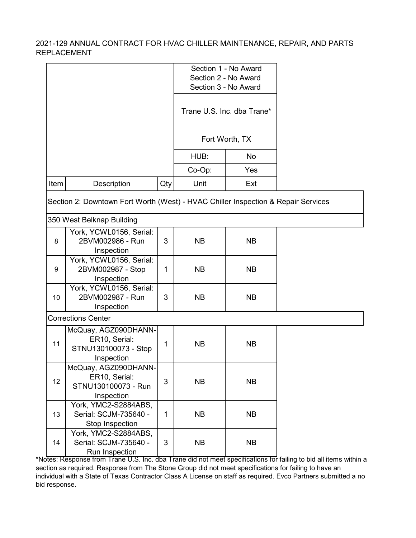|                 |                                                                                                                |              |           | Section 1 - No Award                         |  |
|-----------------|----------------------------------------------------------------------------------------------------------------|--------------|-----------|----------------------------------------------|--|
|                 |                                                                                                                |              |           | Section 2 - No Award<br>Section 3 - No Award |  |
|                 |                                                                                                                |              |           | Trane U.S. Inc. dba Trane*                   |  |
|                 |                                                                                                                |              |           | Fort Worth, TX                               |  |
|                 |                                                                                                                |              | HUB:      | No                                           |  |
|                 |                                                                                                                |              | Co-Op:    | Yes                                          |  |
| Item            | Description                                                                                                    | Qty          | Unit      | Ext                                          |  |
|                 | Section 2: Downtown Fort Worth (West) - HVAC Chiller Inspection & Repair Services<br>350 West Belknap Building |              |           |                                              |  |
| 8               | York, YCWL0156, Serial:<br>2BVM002986 - Run<br>Inspection                                                      | 3            | <b>NB</b> | <b>NB</b>                                    |  |
| 9               | York, YCWL0156, Serial:<br>2BVM002987 - Stop<br>Inspection                                                     | $\mathbf{1}$ | <b>NB</b> | <b>NB</b>                                    |  |
| 10 <sup>°</sup> | York, YCWL0156, Serial:<br>2BVM002987 - Run<br>Inspection                                                      | 3            | <b>NB</b> | <b>NB</b>                                    |  |
|                 | <b>Corrections Center</b>                                                                                      |              |           |                                              |  |
| 11              | McQuay, AGZ090DHANN-<br>ER10, Serial:<br>STNU130100073 - Stop<br>Inspection                                    | $\mathbf{1}$ | <b>NB</b> | <b>NB</b>                                    |  |
| 12              | McQuay, AGZ090DHANN-<br>ER10, Serial:<br>STNU130100073 - Run<br>Inspection                                     | 3            | <b>NB</b> | <b>NB</b>                                    |  |
| 13              | York, YMC2-S2884ABS,<br>Serial: SCJM-735640 -<br>Stop Inspection                                               | $\mathbf{1}$ | <b>NB</b> | <b>NB</b>                                    |  |
| 14              | York, YMC2-S2884ABS,<br>Serial: SCJM-735640 -<br>Run Inspection                                                | 3            | <b>NB</b> | <b>NB</b>                                    |  |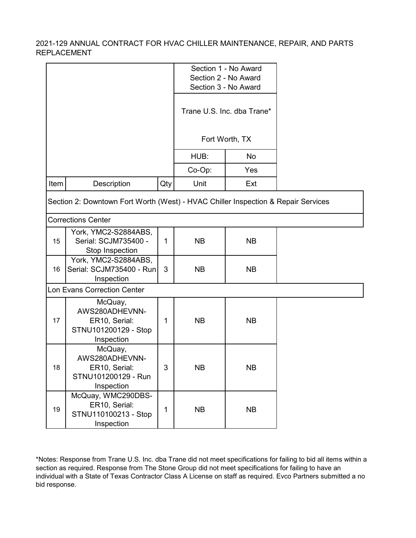|      |                                                                                   |     |           | Section 1 - No Award<br>Section 2 - No Award<br>Section 3 - No Award |  |
|------|-----------------------------------------------------------------------------------|-----|-----------|----------------------------------------------------------------------|--|
|      |                                                                                   |     |           | Trane U.S. Inc. dba Trane*                                           |  |
|      |                                                                                   |     |           | Fort Worth, TX                                                       |  |
|      |                                                                                   |     | HUB:      | No                                                                   |  |
|      |                                                                                   |     | Co-Op:    | Yes                                                                  |  |
| Item | Description                                                                       | Qty | Unit      | Ext                                                                  |  |
|      | Section 2: Downtown Fort Worth (West) - HVAC Chiller Inspection & Repair Services |     |           |                                                                      |  |
|      | <b>Corrections Center</b>                                                         |     |           |                                                                      |  |
| 15   | York, YMC2-S2884ABS,<br>Serial: SCJM735400 -<br>Stop Inspection                   | 1   | <b>NB</b> | <b>NB</b>                                                            |  |
| 16   | York, YMC2-S2884ABS,<br>Serial: SCJM735400 - Run<br>Inspection                    | 3   | <b>NB</b> | <b>NB</b>                                                            |  |
|      | Lon Evans Correction Center                                                       |     |           |                                                                      |  |
| 17   | McQuay,<br>AWS280ADHEVNN-<br>ER10, Serial:<br>STNU101200129 - Stop<br>Inspection  | 1   | <b>NB</b> | <b>NB</b>                                                            |  |
| 18   | McQuay,<br>AWS280ADHEVNN-<br>ER10, Serial:<br>STNU101200129 - Run<br>Inspection   | 3   | <b>NB</b> | <b>NB</b>                                                            |  |
| 19   | McQuay, WMC290DBS-<br>ER10, Serial:<br>STNU110100213 - Stop<br>Inspection         | 1   | NB        | <b>NB</b>                                                            |  |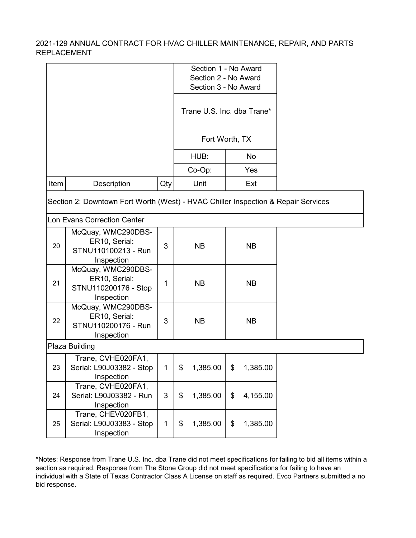|      |                                                                                   |              | Section 1 - No Award<br>Section 2 - No Award<br>Section 3 - No Award |                            |    |           |  |
|------|-----------------------------------------------------------------------------------|--------------|----------------------------------------------------------------------|----------------------------|----|-----------|--|
|      |                                                                                   |              |                                                                      | Trane U.S. Inc. dba Trane* |    |           |  |
|      |                                                                                   |              |                                                                      | Fort Worth, TX             |    |           |  |
|      |                                                                                   |              |                                                                      | HUB:                       |    | No        |  |
|      |                                                                                   |              |                                                                      | Co-Op:                     |    | Yes       |  |
| Item | Description                                                                       | Qty          |                                                                      | Unit                       |    | Ext       |  |
|      | Section 2: Downtown Fort Worth (West) - HVAC Chiller Inspection & Repair Services |              |                                                                      |                            |    |           |  |
|      | <b>Lon Evans Correction Center</b>                                                |              |                                                                      |                            |    |           |  |
| 20   | McQuay, WMC290DBS-<br>ER10, Serial:<br>STNU110100213 - Run<br>Inspection          | 3            |                                                                      | <b>NB</b>                  |    | <b>NB</b> |  |
| 21   | McQuay, WMC290DBS-<br>ER10, Serial:<br>STNU110200176 - Stop<br>Inspection         | 1            |                                                                      | <b>NB</b>                  |    | <b>NB</b> |  |
| 22   | McQuay, WMC290DBS-<br>ER10, Serial:<br>STNU110200176 - Run<br>Inspection          | 3            |                                                                      | <b>NB</b>                  |    | <b>NB</b> |  |
|      | Plaza Building                                                                    |              |                                                                      |                            |    |           |  |
| 23   | Trane, CVHE020FA1,<br>Serial: L90J03382 - Stop<br>Inspection                      | 1.           | - \$                                                                 | 1,385.00                   | \$ | 1,385.00  |  |
| 24   | Trane, CVHE020FA1,<br>Serial: L90J03382 - Run<br>Inspection                       | 3            | \$                                                                   | 1,385.00                   | \$ | 4,155.00  |  |
| 25   | Trane, CHEV020FB1,<br>Serial: L90J03383 - Stop<br>Inspection                      | $\mathbf{1}$ | \$                                                                   | 1,385.00                   | \$ | 1,385.00  |  |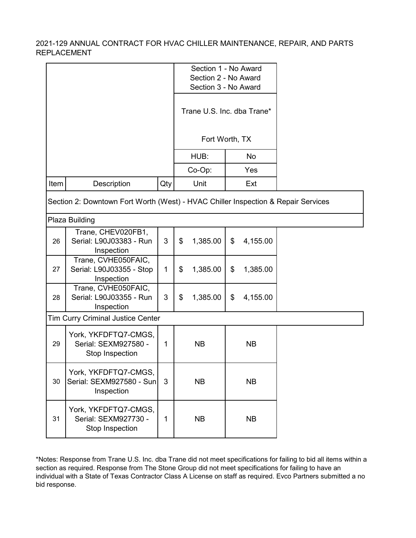|      |                                                                                   |     | Section 1 - No Award<br>Section 2 - No Award<br>Section 3 - No Award |                            |    |           |  |
|------|-----------------------------------------------------------------------------------|-----|----------------------------------------------------------------------|----------------------------|----|-----------|--|
|      |                                                                                   |     |                                                                      | Trane U.S. Inc. dba Trane* |    |           |  |
|      |                                                                                   |     |                                                                      | Fort Worth, TX             |    |           |  |
|      |                                                                                   |     |                                                                      | HUB:                       |    | No        |  |
|      |                                                                                   |     |                                                                      | Co-Op:                     |    | Yes       |  |
| Item | Description                                                                       | Qty |                                                                      | Unit                       |    | Ext       |  |
|      | Section 2: Downtown Fort Worth (West) - HVAC Chiller Inspection & Repair Services |     |                                                                      |                            |    |           |  |
|      | Plaza Building                                                                    |     |                                                                      |                            |    |           |  |
| 26   | Trane, CHEV020FB1,<br>Serial: L90J03383 - Run<br>Inspection                       | 3   | \$                                                                   | 1,385.00                   | \$ | 4,155.00  |  |
| 27   | Trane, CVHE050FAIC,<br>Serial: L90J03355 - Stop<br>Inspection                     | 1   | \$                                                                   | 1,385.00                   | \$ | 1,385.00  |  |
| 28   | Trane, CVHE050FAIC,<br>Serial: L90J03355 - Run<br>Inspection                      | 3   | \$                                                                   | 1,385.00                   | \$ | 4,155.00  |  |
|      | <b>Tim Curry Criminal Justice Center</b>                                          |     |                                                                      |                            |    |           |  |
| 29   | York, YKFDFTQ7-CMGS,<br>Serial: SEXM927580 -<br>Stop Inspection                   | 1   |                                                                      | <b>NB</b>                  |    | <b>NB</b> |  |
| 30   | York, YKFDFTQ7-CMGS,<br>Serial: SEXM927580 - Sun<br>Inspection                    | 3   |                                                                      | <b>NB</b>                  |    | <b>NB</b> |  |
| 31   | York, YKFDFTQ7-CMGS,<br>Serial: SEXM927730 -<br>Stop Inspection                   | 1   |                                                                      | <b>NB</b>                  |    | <b>NB</b> |  |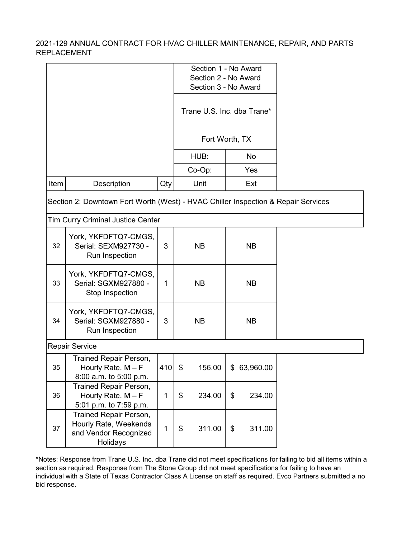|      |                                                                                      |          |              | Section 1 - No Award<br>Section 2 - No Award<br>Section 3 - No Award<br>Trane U.S. Inc. dba Trane* |  |
|------|--------------------------------------------------------------------------------------|----------|--------------|----------------------------------------------------------------------------------------------------|--|
|      |                                                                                      |          |              | Fort Worth, TX                                                                                     |  |
|      |                                                                                      |          | HUB:         | No                                                                                                 |  |
|      |                                                                                      |          | Co-Op:       | Yes                                                                                                |  |
| Item | Description                                                                          | Qty      | Unit         | Ext                                                                                                |  |
|      | Section 2: Downtown Fort Worth (West) - HVAC Chiller Inspection & Repair Services    |          |              |                                                                                                    |  |
|      | <b>Tim Curry Criminal Justice Center</b>                                             |          |              |                                                                                                    |  |
| 32   | York, YKFDFTQ7-CMGS,<br>Serial: SEXM927730 -<br>Run Inspection                       | 3        | <b>NB</b>    | <b>NB</b>                                                                                          |  |
| 33   | York, YKFDFTQ7-CMGS,<br>Serial: SGXM927880 -<br>Stop Inspection                      | 1        | <b>NB</b>    | <b>NB</b>                                                                                          |  |
| 34   | York, YKFDFTQ7-CMGS,<br>Serial: SGXM927880 -<br>Run Inspection                       | 3        | <b>NB</b>    | <b>NB</b>                                                                                          |  |
|      | <b>Repair Service</b>                                                                |          |              |                                                                                                    |  |
| 35   | Trained Repair Person,<br>Hourly Rate, $M - F$<br>8:00 a.m. to 5:00 p.m.             | $410$ \$ | 156.00       | \$63,960.00                                                                                        |  |
| 36   | Trained Repair Person,<br>Hourly Rate, $M - F$<br>5:01 p.m. to 7:59 p.m.             | 1        | \$<br>234.00 | \$<br>234.00                                                                                       |  |
| 37   | Trained Repair Person,<br>Hourly Rate, Weekends<br>and Vendor Recognized<br>Holidays | 1        | 311.00<br>\$ | \$<br>311.00                                                                                       |  |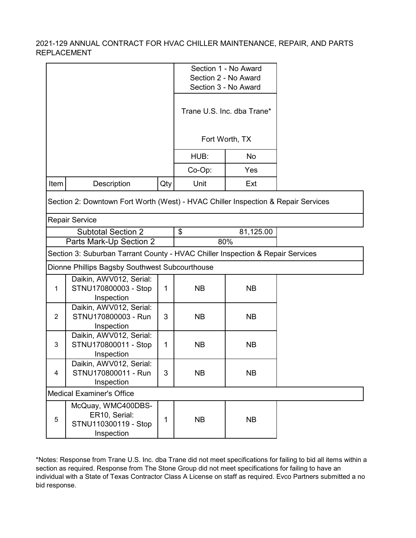|                |                                                                                   |     |           | Section 1 - No Award<br>Section 2 - No Award<br>Section 3 - No Award |  |
|----------------|-----------------------------------------------------------------------------------|-----|-----------|----------------------------------------------------------------------|--|
|                |                                                                                   |     |           | Trane U.S. Inc. dba Trane*                                           |  |
|                |                                                                                   |     |           | Fort Worth, TX                                                       |  |
|                |                                                                                   |     | HUB:      | No                                                                   |  |
|                |                                                                                   |     | Co-Op:    | Yes                                                                  |  |
| Item           | Description                                                                       | Qty | Unit      | Ext                                                                  |  |
|                | Section 2: Downtown Fort Worth (West) - HVAC Chiller Inspection & Repair Services |     |           |                                                                      |  |
|                | <b>Repair Service</b>                                                             |     |           |                                                                      |  |
|                | <b>Subtotal Section 2</b><br>Parts Mark-Up Section 2                              |     | \$        | 81,125.00<br>80%                                                     |  |
|                | Section 3: Suburban Tarrant County - HVAC Chiller Inspection & Repair Services    |     |           |                                                                      |  |
|                | Dionne Phillips Bagsby Southwest Subcourthouse                                    |     |           |                                                                      |  |
| $\mathbf{1}$   | Daikin, AWV012, Serial:<br>STNU170800003 - Stop<br>Inspection                     | 1   | <b>NB</b> | <b>NB</b>                                                            |  |
| $\overline{2}$ | Daikin, AWV012, Serial:<br>STNU170800003 - Run<br>Inspection                      | 3   | <b>NB</b> | <b>NB</b>                                                            |  |
| 3              | Daikin, AWV012, Serial:<br>STNU170800011 - Stop<br>Inspection                     | 1   | <b>NB</b> | <b>NB</b>                                                            |  |
| 4              | Daikin, AWV012, Serial:<br>STNU170800011 - Run<br>Inspection                      | 3   | <b>NB</b> | <b>NB</b>                                                            |  |
|                | <b>Medical Examiner's Office</b>                                                  |     |           |                                                                      |  |
| $\sqrt{5}$     | McQuay, WMC400DBS-<br>ER10, Serial:<br>STNU110300119 - Stop<br>Inspection         | 1   | <b>NB</b> | <b>NB</b>                                                            |  |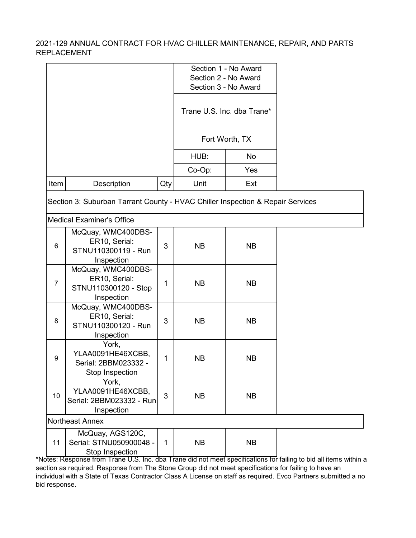|      |                                                                                |     |           | Section 1 - No Award<br>Section 2 - No Award<br>Section 3 - No Award<br>Trane U.S. Inc. dba Trane*<br>Fort Worth, TX |                                                                                                         |
|------|--------------------------------------------------------------------------------|-----|-----------|----------------------------------------------------------------------------------------------------------------------|---------------------------------------------------------------------------------------------------------|
|      |                                                                                |     | HUB:      | No                                                                                                                   |                                                                                                         |
|      |                                                                                |     | Co-Op:    | Yes                                                                                                                  |                                                                                                         |
| Item | Description                                                                    | Qty | Unit      | Ext                                                                                                                  |                                                                                                         |
|      | Section 3: Suburban Tarrant County - HVAC Chiller Inspection & Repair Services |     |           |                                                                                                                      |                                                                                                         |
|      | <b>Medical Examiner's Office</b>                                               |     |           |                                                                                                                      |                                                                                                         |
| 6    | McQuay, WMC400DBS-<br>ER10, Serial:<br>STNU110300119 - Run<br>Inspection       | 3   | <b>NB</b> | <b>NB</b>                                                                                                            |                                                                                                         |
| 7    | McQuay, WMC400DBS-<br>ER10, Serial:<br>STNU110300120 - Stop<br>Inspection      | 1   | <b>NB</b> | <b>NB</b>                                                                                                            |                                                                                                         |
| 8    | McQuay, WMC400DBS-<br>ER10, Serial:<br>STNU110300120 - Run<br>Inspection       | 3   | <b>NB</b> | <b>NB</b>                                                                                                            |                                                                                                         |
| 9    | York,<br>YLAA0091HE46XCBB,<br>Serial: 2BBM023332 -<br>Stop Inspection          | 1   | <b>NB</b> | <b>NB</b>                                                                                                            |                                                                                                         |
| 10   | York,<br>YLAA0091HE46XCBB,<br>Serial: 2BBM023332 - Run<br>Inspection           | 3   | <b>NB</b> | <b>NB</b>                                                                                                            |                                                                                                         |
|      | <b>Northeast Annex</b>                                                         |     |           |                                                                                                                      |                                                                                                         |
| 11   | McQuay, AGS120C,<br>Serial: STNU050900048 -<br>Stop Inspection                 | 1   | <b>NB</b> | <b>NB</b>                                                                                                            | <u>Ecomprison LLS, Inc. dha Trano did not moot spocifications for failing to bid all items within a</u> |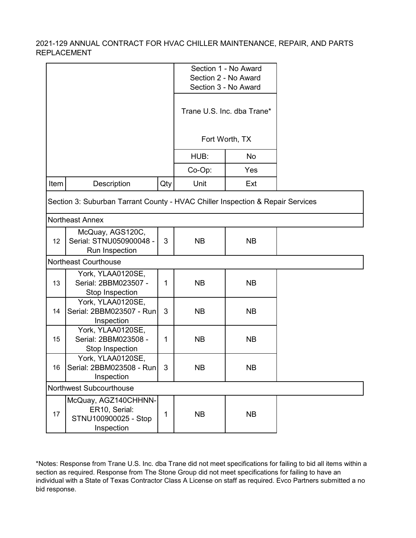|      |                                                                                                          |     |           | Section 1 - No Award<br>Section 2 - No Award<br>Section 3 - No Award |  |
|------|----------------------------------------------------------------------------------------------------------|-----|-----------|----------------------------------------------------------------------|--|
|      |                                                                                                          |     |           | Trane U.S. Inc. dba Trane*                                           |  |
|      |                                                                                                          |     |           | Fort Worth, TX                                                       |  |
|      |                                                                                                          |     | HUB:      | No                                                                   |  |
|      |                                                                                                          |     | Co-Op:    | Yes                                                                  |  |
| Item | Description                                                                                              | Qty | Unit      | Ext                                                                  |  |
|      | Section 3: Suburban Tarrant County - HVAC Chiller Inspection & Repair Services<br><b>Northeast Annex</b> |     |           |                                                                      |  |
| 12   | McQuay, AGS120C,<br>Serial: STNU050900048 -<br>Run Inspection                                            | 3   | <b>NB</b> | <b>NB</b>                                                            |  |
|      | <b>Northeast Courthouse</b>                                                                              |     |           |                                                                      |  |
| 13   | York, YLAA0120SE,<br>Serial: 2BBM023507 -<br>Stop Inspection                                             | 1   | <b>NB</b> | <b>NB</b>                                                            |  |
| 14   | York, YLAA0120SE,<br>Serial: 2BBM023507 - Run<br>Inspection                                              | 3   | <b>NB</b> | <b>NB</b>                                                            |  |
| 15   | York, YLAA0120SE,<br>Serial: 2BBM023508 -<br>Stop Inspection                                             | 1   | <b>NB</b> | <b>NB</b>                                                            |  |
| 16   | York, YLAA0120SE,<br>Serial: 2BBM023508 - Run<br>Inspection                                              | 3   | NΒ        | <b>NB</b>                                                            |  |
|      | Northwest Subcourthouse                                                                                  |     |           |                                                                      |  |
| 17   | McQuay, AGZ140CHHNN-<br>ER10, Serial:<br>STNU100900025 - Stop<br>Inspection                              | 1   | <b>NB</b> | <b>NB</b>                                                            |  |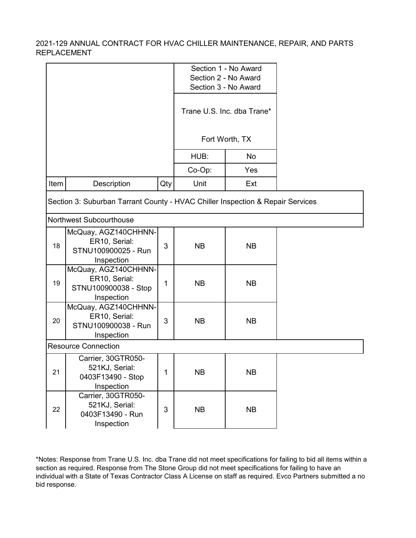|      |                                                                                |     |           | Section 1 - No Award<br>Section 2 - No Award<br>Section 3 - No Award |  |
|------|--------------------------------------------------------------------------------|-----|-----------|----------------------------------------------------------------------|--|
|      |                                                                                |     |           | Trane U.S. Inc. dba Trane*                                           |  |
|      |                                                                                |     |           | Fort Worth, TX                                                       |  |
|      |                                                                                |     | HUB:      | No                                                                   |  |
|      |                                                                                |     | Co-Op:    | Yes                                                                  |  |
| Item | Description                                                                    | Qty | Unit      | Ext                                                                  |  |
|      | Section 3: Suburban Tarrant County - HVAC Chiller Inspection & Repair Services |     |           |                                                                      |  |
|      | <b>Northwest Subcourthouse</b>                                                 |     |           |                                                                      |  |
| 18   | McQuay, AGZ140CHHNN-<br>ER10, Serial:<br>STNU100900025 - Run<br>Inspection     | 3   | <b>NB</b> | <b>NB</b>                                                            |  |
| 19   | McQuay, AGZ140CHHNN-<br>ER10, Serial:<br>STNU100900038 - Stop<br>Inspection    | 1   | <b>NB</b> | <b>NB</b>                                                            |  |
| 20   | McQuay, AGZ140CHHNN-<br>ER10, Serial:<br>STNU100900038 - Run<br>Inspection     | 3   | <b>NB</b> | <b>NB</b>                                                            |  |
|      | <b>Resource Connection</b>                                                     |     |           |                                                                      |  |
| 21   | Carrier, 30GTR050-<br>521KJ, Serial:<br>0403F13490 - Stop<br>Inspection        | 1   | <b>NB</b> | <b>NB</b>                                                            |  |
| 22   | Carrier, 30GTR050-<br>521KJ, Serial:<br>0403F13490 - Run                       | 3   | <b>NB</b> | <b>NB</b>                                                            |  |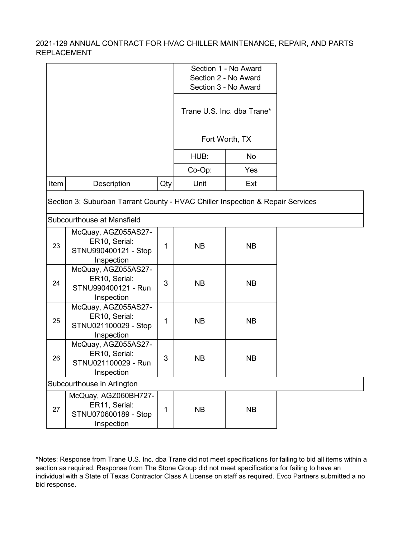|      |                                                                                |                | Section 1 - No Award<br>Section 2 - No Award<br>Section 3 - No Award |                            |  |
|------|--------------------------------------------------------------------------------|----------------|----------------------------------------------------------------------|----------------------------|--|
|      |                                                                                |                |                                                                      | Trane U.S. Inc. dba Trane* |  |
|      |                                                                                |                |                                                                      | Fort Worth, TX             |  |
|      |                                                                                |                | HUB:                                                                 | No                         |  |
|      |                                                                                |                | Co-Op:                                                               | Yes                        |  |
| Item | Description                                                                    | Qty            | Unit                                                                 | Ext                        |  |
|      | Section 3: Suburban Tarrant County - HVAC Chiller Inspection & Repair Services |                |                                                                      |                            |  |
|      | Subcourthouse at Mansfield                                                     |                |                                                                      |                            |  |
| 23   | McQuay, AGZ055AS27-<br>ER10, Serial:<br>STNU990400121 - Stop<br>Inspection     | 1              | <b>NB</b>                                                            | <b>NB</b>                  |  |
| 24   | McQuay, AGZ055AS27-<br>ER10, Serial:<br>STNU990400121 - Run<br>Inspection      | 3              | <b>NB</b>                                                            | <b>NB</b>                  |  |
| 25   | McQuay, AGZ055AS27-<br>ER10, Serial:<br>STNU021100029 - Stop<br>Inspection     | 1              | <b>NB</b>                                                            | <b>NB</b>                  |  |
| 26   | McQuay, AGZ055AS27-<br>ER10, Serial:<br>STNU021100029 - Run<br>Inspection      | $\mathfrak{B}$ | <b>NB</b>                                                            | <b>NB</b>                  |  |
|      | Subcourthouse in Arlington                                                     |                |                                                                      |                            |  |
| 27   | McQuay, AGZ060BH727-<br>ER11, Serial:<br>STNU070600189 - Stop<br>Inspection    | 1              | <b>NB</b>                                                            | <b>NB</b>                  |  |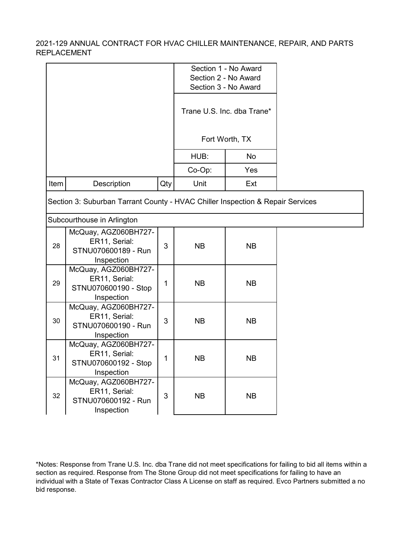|      |                                                                                |     |           | Section 1 - No Award<br>Section 2 - No Award<br>Section 3 - No Award |  |
|------|--------------------------------------------------------------------------------|-----|-----------|----------------------------------------------------------------------|--|
|      |                                                                                |     |           | Trane U.S. Inc. dba Trane*                                           |  |
|      |                                                                                |     |           | Fort Worth, TX                                                       |  |
|      |                                                                                |     | HUB:      | <b>No</b>                                                            |  |
|      |                                                                                |     | Co-Op:    | Yes                                                                  |  |
| Item | Description                                                                    | Qty | Unit      | Ext                                                                  |  |
|      | Section 3: Suburban Tarrant County - HVAC Chiller Inspection & Repair Services |     |           |                                                                      |  |
|      | Subcourthouse in Arlington                                                     |     |           |                                                                      |  |
| 28   | McQuay, AGZ060BH727-<br>ER11, Serial:<br>STNU070600189 - Run<br>Inspection     | 3   | <b>NB</b> | <b>NB</b>                                                            |  |
| 29   | McQuay, AGZ060BH727-<br>ER11, Serial:<br>STNU070600190 - Stop<br>Inspection    | 1   | <b>NB</b> | <b>NB</b>                                                            |  |
| 30   | McQuay, AGZ060BH727-<br>ER11, Serial:<br>STNU070600190 - Run<br>Inspection     | 3   | <b>NB</b> | <b>NB</b>                                                            |  |
| 31   | McQuay, AGZ060BH727-<br>ER11, Serial:<br>STNU070600192 - Stop<br>Inspection    | 1   | <b>NB</b> | <b>NB</b>                                                            |  |
| 32   | McQuay, AGZ060BH727-<br>ER11, Serial:<br>STNU070600192 - Run<br>Inspection     | 3   | <b>NB</b> | <b>NB</b>                                                            |  |